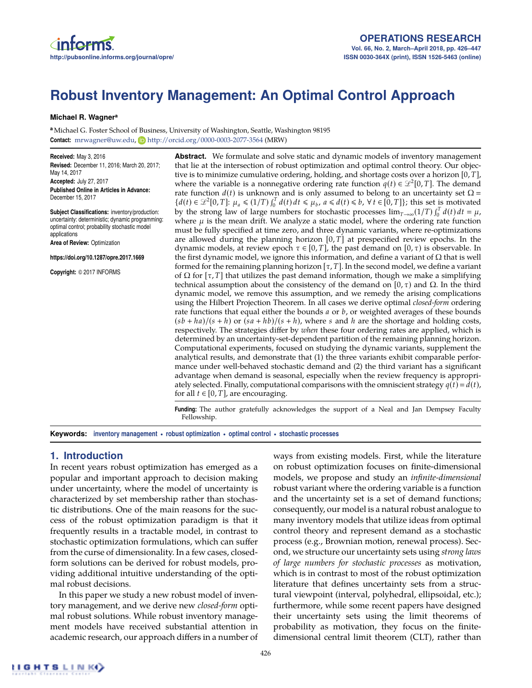

# **Robust Inventory Management: An Optimal Control Approach**

### **Michael R. Wagnera**

**<sup>a</sup>** Michael G. Foster School of Business, University of Washington, Seattle, Washington 98195 **Contact:** mrwagner@uw.edu, **b** http://orcid.org/0000-0003-2077-3564 (MRW)

**Received:** May 3, 2016 **Revised:** December 11, 2016; March 20, 2017; May 14, 2017 **Accepted:** July 27, 2017 **Published Online in Articles in Advance:** December 15, 2017

**Subject Classifications:** inventory/production: uncertainty: deterministic; dynamic programming: optimal control; probability stochastic model applications **Area of Review:** Optimization

**https://doi.org/10.1287/opre.2017.1669**

**Copyright:** © 2017 INFORMS

**Abstract.** We formulate and solve static and dynamic models of inventory management that lie at the intersection of robust optimization and optimal control theory. Our objective is to minimize cumulative ordering, holding, and shortage costs over a horizon [0, *T*], where the variable is a nonnegative ordering rate function  $q(t) \in \mathcal{L}^2[0,T]$ . The demand rate function  $d(t)$  is unknown and is only assumed to belong to an uncertainty set  $\Omega$  =  ${d(t) \in \mathcal{L}^2[0,T]: \mu_a \leq (1/T) \int_0^T d(t) dt \leq \mu_b, a \leq d(t) \leq b, \forall t \in [0,T]};$  this set is motivated by the strong law of large numbers for stochastic processes  $\lim_{T\to\infty}(1/T) \int_0^T d(t) dt = \mu$ , where  $\mu$  is the mean drift. We analyze a static model, where the ordering rate function must be fully specified at time zero, and three dynamic variants, where re-optimizations are allowed during the planning horizon  $[0, T]$  at prespecified review epochs. In the dynamic models, at review epoch  $\tau \in [0, T]$ , the past demand on  $[0, \tau)$  is observable. In the first dynamic model, we ignore this information, and define a variant of  $\Omega$  that is well formed for the remaining planning horizon  $[\tau, T]$ . In the second model, we define a variant of  $\Omega$  for  $[\tau, T]$  that utilizes the past demand information, though we make a simplifying technical assumption about the consistency of the demand on [0,  $\tau$ ) and  $\Omega$ . In the third dynamic model, we remove this assumption, and we remedy the arising complications using the Hilbert Projection Theorem. In all cases we derive optimal *closed-form* ordering rate functions that equal either the bounds *a* or *b*, or weighted averages of these bounds  $(sb + ha)/(s + h)$  or  $(sa + hb)/(s + h)$ , where *s* and *h* are the shortage and holding costs, respectively. The strategies differ by *when* these four ordering rates are applied, which is determined by an uncertainty-set-dependent partition of the remaining planning horizon. Computational experiments, focused on studying the dynamic variants, supplement the analytical results, and demonstrate that (1) the three variants exhibit comparable performance under well-behaved stochastic demand and (2) the third variant has a significant advantage when demand is seasonal, especially when the review frequency is appropriately selected. Finally, computational comparisons with the omniscient strategy  $q(t) = d(t)$ , for all  $t \in [0, T]$ , are encouraging.

**Funding:** The author gratefully acknowledges the support of a Neal and Jan Dempsey Faculty Fellowship.

**Keywords: inventory management • robust optimization • optimal control • stochastic processes**

# **1. Introduction**

In recent years robust optimization has emerged as a popular and important approach to decision making under uncertainty, where the model of uncertainty is characterized by set membership rather than stochastic distributions. One of the main reasons for the success of the robust optimization paradigm is that it frequently results in a tractable model, in contrast to stochastic optimization formulations, which can suffer from the curse of dimensionality. In a few cases, closedform solutions can be derived for robust models, providing additional intuitive understanding of the optimal robust decisions.

In this paper we study a new robust model of inventory management, and we derive new *closed-form* optimal robust solutions. While robust inventory management models have received substantial attention in academic research, our approach differs in a number of ways from existing models. First, while the literature on robust optimization focuses on finite-dimensional models, we propose and study an *infinite-dimensional* robust variant where the ordering variable is a function and the uncertainty set is a set of demand functions; consequently, our model is a natural robust analogue to many inventory models that utilize ideas from optimal control theory and represent demand as a stochastic process (e.g., Brownian motion, renewal process). Second, we structure our uncertainty sets using *strong laws of large numbers for stochastic processes* as motivation, which is in contrast to most of the robust optimization literature that defines uncertainty sets from a structural viewpoint (interval, polyhedral, ellipsoidal, etc.); furthermore, while some recent papers have designed their uncertainty sets using the limit theorems of probability as motivation, they focus on the finitedimensional central limit theorem (CLT), rather than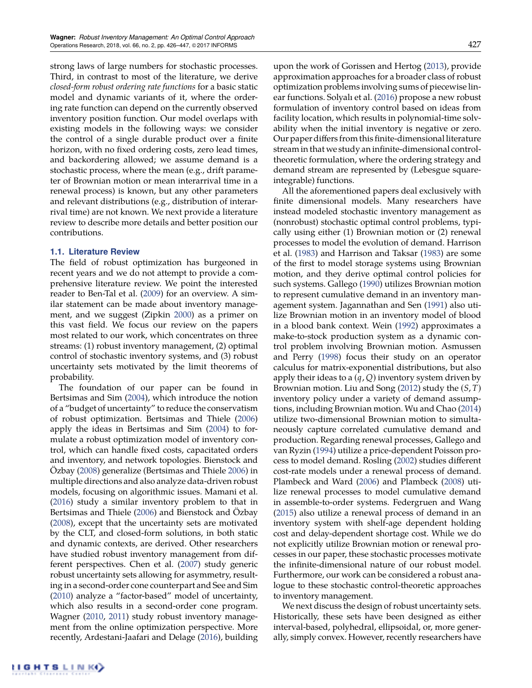strong laws of large numbers for stochastic processes. Third, in contrast to most of the literature, we derive *closed-form robust ordering rate functions* for a basic static model and dynamic variants of it, where the ordering rate function can depend on the currently observed inventory position function. Our model overlaps with existing models in the following ways: we consider the control of a single durable product over a finite horizon, with no fixed ordering costs, zero lead times, and backordering allowed; we assume demand is a stochastic process, where the mean (e.g., drift parameter of Brownian motion or mean interarrival time in a renewal process) is known, but any other parameters and relevant distributions (e.g., distribution of interarrival time) are not known. We next provide a literature review to describe more details and better position our contributions.

## **1.1. Literature Review**

The field of robust optimization has burgeoned in recent years and we do not attempt to provide a comprehensive literature review. We point the interested reader to Ben-Tal et al. (2009) for an overview. A similar statement can be made about inventory management, and we suggest (Zipkin 2000) as a primer on this vast field. We focus our review on the papers most related to our work, which concentrates on three streams: (1) robust inventory management, (2) optimal control of stochastic inventory systems, and (3) robust uncertainty sets motivated by the limit theorems of probability.

The foundation of our paper can be found in Bertsimas and Sim (2004), which introduce the notion of a "budget of uncertainty" to reduce the conservatism of robust optimization. Bertsimas and Thiele (2006) apply the ideas in Bertsimas and Sim (2004) to formulate a robust optimization model of inventory control, which can handle fixed costs, capacitated orders and inventory, and network topologies. Bienstock and Özbay (2008) generalize (Bertsimas and Thiele 2006) in multiple directions and also analyze data-driven robust models, focusing on algorithmic issues. Mamani et al. (2016) study a similar inventory problem to that in Bertsimas and Thiele (2006) and Bienstock and Özbay (2008), except that the uncertainty sets are motivated by the CLT, and closed-form solutions, in both static and dynamic contexts, are derived. Other researchers have studied robust inventory management from different perspectives. Chen et al. (2007) study generic robust uncertainty sets allowing for asymmetry, resulting in a second-order cone counterpart and See and Sim (2010) analyze a "factor-based" model of uncertainty, which also results in a second-order cone program. Wagner (2010, 2011) study robust inventory management from the online optimization perspective. More recently, Ardestani-Jaafari and Delage (2016), building upon the work of Gorissen and Hertog (2013), provide approximation approaches for a broader class of robust optimization problems involving sums of piecewise linear functions. Solyalı et al. (2016) propose a new robust formulation of inventory control based on ideas from facility location, which results in polynomial-time solvability when the initial inventory is negative or zero. Our paper differs from this finite-dimensionalliterature stream in that we study an infinite-dimensional controltheoretic formulation, where the ordering strategy and demand stream are represented by (Lebesgue squareintegrable) functions.

All the aforementioned papers deal exclusively with finite dimensional models. Many researchers have instead modeled stochastic inventory management as (nonrobust) stochastic optimal control problems, typically using either (1) Brownian motion or (2) renewal processes to model the evolution of demand. Harrison et al. (1983) and Harrison and Taksar (1983) are some of the first to model storage systems using Brownian motion, and they derive optimal control policies for such systems. Gallego (1990) utilizes Brownian motion to represent cumulative demand in an inventory management system. Jagannathan and Sen (1991) also utilize Brownian motion in an inventory model of blood in a blood bank context. Wein (1992) approximates a make-to-stock production system as a dynamic control problem involving Brownian motion. Asmussen and Perry (1998) focus their study on an operator calculus for matrix-exponential distributions, but also apply their ideas to a (*q*, *Q*) inventory system driven by Brownian motion. Liu and Song (2012) study the (*S*, *T*) inventory policy under a variety of demand assumptions, including Brownian motion. Wu and Chao (2014) utilize two-dimensional Brownian motion to simultaneously capture correlated cumulative demand and production. Regarding renewal processes, Gallego and van Ryzin (1994) utilize a price-dependent Poisson process to model demand. Rosling (2002) studies different cost-rate models under a renewal process of demand. Plambeck and Ward (2006) and Plambeck (2008) utilize renewal processes to model cumulative demand in assemble-to-order systems. Federgruen and Wang (2015) also utilize a renewal process of demand in an inventory system with shelf-age dependent holding cost and delay-dependent shortage cost. While we do not explicitly utilize Brownian motion or renewal processes in our paper, these stochastic processes motivate the infinite-dimensional nature of our robust model. Furthermore, our work can be considered a robust analogue to these stochastic control-theoretic approaches to inventory management.

We next discuss the design of robust uncertainty sets. Historically, these sets have been designed as either interval-based, polyhedral, ellipsoidal, or, more generally, simply convex. However, recently researchers have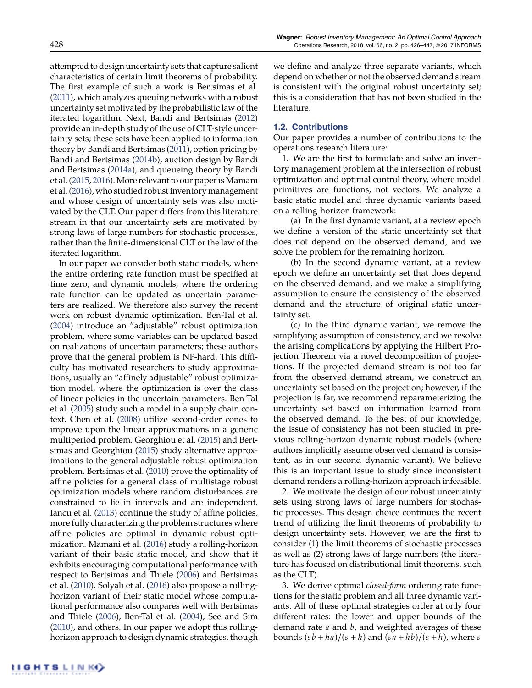attempted to design uncertainty sets that capture salient characteristics of certain limit theorems of probability. The first example of such a work is Bertsimas et al. (2011), which analyzes queuing networks with a robust uncertainty set motivated by the probabilistic law of the iterated logarithm. Next, Bandi and Bertsimas (2012) provide an in-depth study of the use of CLT-style uncertainty sets; these sets have been applied to information theory by Bandi and Bertsimas (2011), option pricing by Bandi and Bertsimas (2014b), auction design by Bandi and Bertsimas (2014a), and queueing theory by Bandi et al. (2015, 2016). More relevant to our paper is Mamani et al. (2016), who studied robust inventory management and whose design of uncertainty sets was also motivated by the CLT. Our paper differs from this literature stream in that our uncertainty sets are motivated by strong laws of large numbers for stochastic processes, rather than the finite-dimensional CLT or the law of the iterated logarithm.

In our paper we consider both static models, where the entire ordering rate function must be specified at time zero, and dynamic models, where the ordering rate function can be updated as uncertain parameters are realized. We therefore also survey the recent work on robust dynamic optimization. Ben-Tal et al. (2004) introduce an "adjustable" robust optimization problem, where some variables can be updated based on realizations of uncertain parameters; these authors prove that the general problem is NP-hard. This difficulty has motivated researchers to study approximations, usually an "affinely adjustable" robust optimization model, where the optimization is over the class of linear policies in the uncertain parameters. Ben-Tal et al. (2005) study such a model in a supply chain context. Chen et al. (2008) utilize second-order cones to improve upon the linear approximations in a generic multiperiod problem. Georghiou et al. (2015) and Bertsimas and Georghiou (2015) study alternative approximations to the general adjustable robust optimization problem. Bertsimas et al. (2010) prove the optimality of affine policies for a general class of multistage robust optimization models where random disturbances are constrained to lie in intervals and are independent. Iancu et al. (2013) continue the study of affine policies, more fully characterizing the problem structures where affine policies are optimal in dynamic robust optimization. Mamani et al. (2016) study a rolling-horizon variant of their basic static model, and show that it exhibits encouraging computational performance with respect to Bertsimas and Thiele (2006) and Bertsimas et al. (2010). Solyalı et al. (2016) also propose a rollinghorizon variant of their static model whose computational performance also compares well with Bertsimas and Thiele (2006), Ben-Tal et al. (2004), See and Sim (2010), and others. In our paper we adopt this rollinghorizon approach to design dynamic strategies, though we define and analyze three separate variants, which depend on whether or not the observed demand stream is consistent with the original robust uncertainty set; this is a consideration that has not been studied in the literature.

## **1.2. Contributions**

Our paper provides a number of contributions to the operations research literature:

1. We are the first to formulate and solve an inventory management problem at the intersection of robust optimization and optimal control theory, where model primitives are functions, not vectors. We analyze a basic static model and three dynamic variants based on a rolling-horizon framework:

(a) In the first dynamic variant, at a review epoch we define a version of the static uncertainty set that does not depend on the observed demand, and we solve the problem for the remaining horizon.

(b) In the second dynamic variant, at a review epoch we define an uncertainty set that does depend on the observed demand, and we make a simplifying assumption to ensure the consistency of the observed demand and the structure of original static uncertainty set.

(c) In the third dynamic variant, we remove the simplifying assumption of consistency, and we resolve the arising complications by applying the Hilbert Projection Theorem via a novel decomposition of projections. If the projected demand stream is not too far from the observed demand stream, we construct an uncertainty set based on the projection; however, if the projection is far, we recommend reparameterizing the uncertainty set based on information learned from the observed demand. To the best of our knowledge, the issue of consistency has not been studied in previous rolling-horizon dynamic robust models (where authors implicitly assume observed demand is consistent, as in our second dynamic variant). We believe this is an important issue to study since inconsistent demand renders a rolling-horizon approach infeasible.

2. We motivate the design of our robust uncertainty sets using strong laws of large numbers for stochastic processes. This design choice continues the recent trend of utilizing the limit theorems of probability to design uncertainty sets. However, we are the first to consider (1) the limit theorems of stochastic processes as well as (2) strong laws of large numbers (the literature has focused on distributional limit theorems, such as the CLT).

3. We derive optimal *closed-form* ordering rate functions for the static problem and all three dynamic variants. All of these optimal strategies order at only four different rates: the lower and upper bounds of the demand rate *a* and *b*, and weighted averages of these bounds  $(sb + ha)/(s + h)$  and  $(sa + hb)/(s + h)$ , where *s*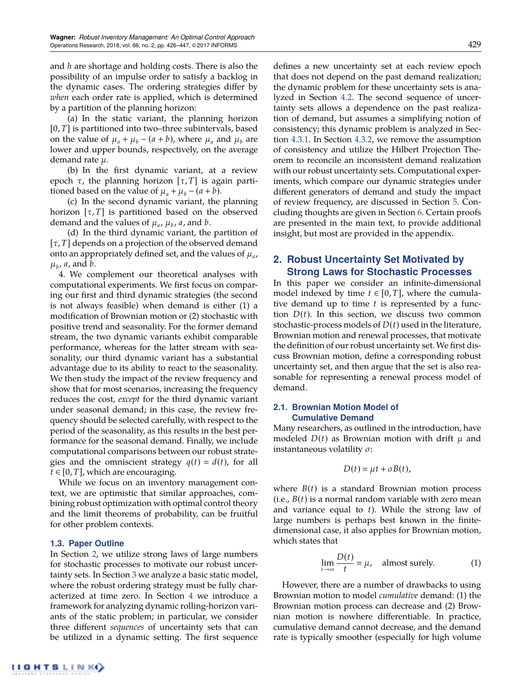and *h* are shortage and holding costs. There is also the possibility of an impulse order to satisfy a backlog in the dynamic cases. The ordering strategies differ by *when* each order rate is applied, which is determined by a partition of the planning horizon:

(a) In the static variant, the planning horizon [0, *T*] is partitioned into two–three subintervals, based on the value of  $\mu_a + \mu_b - (a + b)$ , where  $\mu_a$  and  $\mu_b$  are lower and upper bounds, respectively, on the average demand rate  $\mu$ .

(b) In the first dynamic variant, at a review epoch  $\tau$ , the planning horizon  $[\tau, T]$  is again partitioned based on the value of  $\mu_a + \mu_b - (a + b)$ .

(c) In the second dynamic variant, the planning horizon  $[\tau, T]$  is partitioned based on the observed demand and the values of  $\mu_a$ ,  $\mu_b$ ,  $\alpha$ , and  $b$ .

(d) In the third dynamic variant, the partition of  $[\tau, T]$  depends on a projection of the observed demand onto an appropriately defined set, and the values of  $\mu_a$ ,  $\mu_b$ , *a*, and *b*.

4. We complement our theoretical analyses with computational experiments. We first focus on comparing our first and third dynamic strategies (the second is not always feasible) when demand is either (1) a modification of Brownian motion or (2) stochastic with positive trend and seasonality. For the former demand stream, the two dynamic variants exhibit comparable performance, whereas for the latter stream with seasonality, our third dynamic variant has a substantial advantage due to its ability to react to the seasonality. We then study the impact of the review frequency and show that for most scenarios, increasing the frequency reduces the cost, *except* for the third dynamic variant under seasonal demand; in this case, the review frequency should be selected carefully, with respect to the period of the seasonality, as this results in the best performance for the seasonal demand. Finally, we include computational comparisons between our robust strategies and the omniscient strategy  $q(t) = d(t)$ , for all  $t \in [0, T]$ , which are encouraging.

While we focus on an inventory management context, we are optimistic that similar approaches, combining robust optimization with optimal control theory and the limit theorems of probability, can be fruitful for other problem contexts.

## **1.3. Paper Outline**

In Section 2, we utilize strong laws of large numbers for stochastic processes to motivate our robust uncertainty sets. In Section 3 we analyze a basic static model, where the robust ordering strategy must be fully characterized at time zero. In Section 4 we introduce a framework for analyzing dynamic rolling-horizon variants of the static problem; in particular, we consider three different *sequences* of uncertainty sets that can be utilized in a dynamic setting. The first sequence defines a new uncertainty set at each review epoch that does not depend on the past demand realization; the dynamic problem for these uncertainty sets is analyzed in Section 4.2. The second sequence of uncertainty sets allows a dependence on the past realization of demand, but assumes a simplifying notion of consistency; this dynamic problem is analyzed in Section 4.3.1. In Section 4.3.2, we remove the assumption of consistency and utilize the Hilbert Projection Theorem to reconcile an inconsistent demand realization with our robust uncertainty sets. Computational experiments, which compare our dynamic strategies under different generators of demand and study the impact of review frequency, are discussed in Section 5. Concluding thoughts are given in Section 6. Certain proofs are presented in the main text, to provide additional insight, but most are provided in the appendix.

# **2. Robust Uncertainty Set Motivated by Strong Laws for Stochastic Processes**

In this paper we consider an infinite-dimensional model indexed by time  $t \in [0, T]$ , where the cumulative demand up to time *t* is represented by a function  $D(t)$ . In this section, we discuss two common stochastic-process models of *D*(*t*) used in the literature, Brownian motion and renewal processes, that motivate the definition of our robust uncertainty set. We first discuss Brownian motion, define a corresponding robust uncertainty set, and then argue that the set is also reasonable for representing a renewal process model of demand.

# **2.1. Brownian Motion Model of Cumulative Demand**

Many researchers, as outlined in the introduction, have modeled  $D(t)$  as Brownian motion with drift  $\mu$  and instantaneous volatility  $\sigma$ :

$$
D(t)=\mu t+\sigma B(t),
$$

where  $B(t)$  is a standard Brownian motion process (i.e., *B*(*t*) is a normal random variable with zero mean and variance equal to *t*). While the strong law of large numbers is perhaps best known in the finitedimensional case, it also applies for Brownian motion, which states that

$$
\lim_{t \to \infty} \frac{D(t)}{t} = \mu, \quad \text{almost surely.} \tag{1}
$$

However, there are a number of drawbacks to using Brownian motion to model *cumulative* demand: (1) the Brownian motion process can decrease and (2) Brownian motion is nowhere differentiable. In practice, cumulative demand cannot decrease, and the demand rate is typically smoother (especially for high volume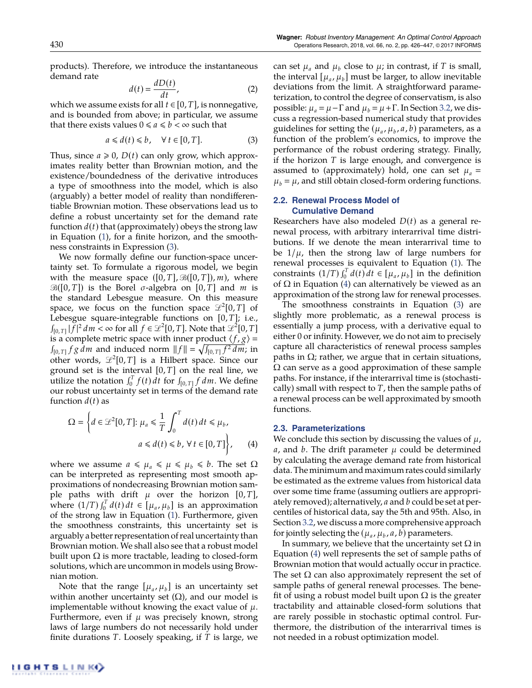products). Therefore, we introduce the instantaneous demand rate

$$
d(t) = \frac{dD(t)}{dt},
$$
 (2)

which we assume exists for all  $t \in [0, T]$ , is nonnegative, and is bounded from above; in particular, we assume that there exists values  $0 \le a \le b < \infty$  such that

$$
a \leq d(t) \leq b, \quad \forall \, t \in [0, T]. \tag{3}
$$

Thus, since  $a \ge 0$ ,  $D(t)$  can only grow, which approximates reality better than Brownian motion, and the existence/boundedness of the derivative introduces a type of smoothness into the model, which is also (arguably) a better model of reality than nondifferentiable Brownian motion. These observations lead us to define a robust uncertainty set for the demand rate function  $d(t)$  that (approximately) obeys the strong law in Equation (1), for a finite horizon, and the smoothness constraints in Expression (3).

We now formally define our function-space uncertainty set. To formulate a rigorous model, we begin with the measure space  $([0, T], \mathcal{B}([0, T]), m)$ , where  $\mathcal{B}([0, T])$  is the Borel  $\sigma$ -algebra on  $[0, T]$  and *m* is the standard Lebesgue measure. On this measure space, we focus on the function space  $\mathcal{L}^2[0,T]$  of Lebesgue square-integrable functions on [0, *T*]; i.e.,  $\int_{[0, T]} |\tilde{f}|^2 dm < \infty$  for all  $f \in \mathcal{L}^2[0, T]$ . Note that  $\mathcal{L}^2[0, T]$ is a complete metric space with inner product  $\langle f, g \rangle =$  $\int_{[0, T]} f g \, dm$  and induced norm  $||f|| = \sqrt{\int_{[0, T]} f^2 dm}$ ; in other words,  $\mathcal{L}^2[0,T]$  is a Hilbert space. Since our ground set is the interval [0, *T*] on the real line, we utilize the notation  $\int_0^T f(t) dt$  for  $\int_{[0,T]} f dm$ . We define our robust uncertainty set in terms of the demand rate function  $d(t)$  as

$$
\Omega = \left\{ d \in \mathcal{L}^2[0, T] : \mu_a \le \frac{1}{T} \int_0^T d(t) dt \le \mu_b, a \le d(t) \le b, \forall t \in [0, T] \right\}, \quad (4)
$$

where we assume  $a \leq \mu_a \leq \mu \leq \mu_b \leq b$ . The set  $\Omega$ can be interpreted as representing most smooth approximations of nondecreasing Brownian motion sample paths with drift  $\mu$  over the horizon [0, *T*], where  $(1/T) \int_0^T d(t) dt \in [\mu_a, \mu_b]$  is an approximation of the strong law in Equation (1). Furthermore, given the smoothness constraints, this uncertainty set is arguably a better representation of real uncertainty than Brownian motion. We shall also see that a robust model built upon  $\Omega$  is more tractable, leading to closed-form solutions, which are uncommon in models using Brownian motion.

Note that the range  $[\mu_a, \mu_b]$  is an uncertainty set within another uncertainty set  $(\Omega)$ , and our model is implementable without knowing the exact value of  $\mu$ . Furthermore, even if  $\mu$  was precisely known, strong laws of large numbers do not necessarily hold under finite durations *T*. Loosely speaking, if *T* is large, we can set  $\mu_a$  and  $\mu_b$  close to  $\mu$ ; in contrast, if *T* is small, the interval  $[\mu_a, \mu_b]$  must be larger, to allow inevitable deviations from the limit. A straightforward parameterization, to control the degree of conservatism, is also possible:  $\mu_a = \mu - \Gamma$  and  $\mu_b = \mu + \Gamma$ . In Section 3.2, we discuss a regression-based numerical study that provides guidelines for setting the ( $\mu_a$ ,  $\mu_b$ ,  $a$ ,  $b$ ) parameters, as a function of the problem's economics, to improve the performance of the robust ordering strategy. Finally, if the horizon *T* is large enough, and convergence is assumed to (approximately) hold, one can set  $\mu_a$  =  $\mu_b = \mu$ , and still obtain closed-form ordering functions.

# **2.2. Renewal Process Model of Cumulative Demand**

Researchers have also modeled *D*(*t*) as a general renewal process, with arbitrary interarrival time distributions. If we denote the mean interarrival time to be  $1/\mu$ , then the strong law of large numbers for renewal processes is equivalent to Equation (1). The constraints  $(1/T) \int_0^T d(t) dt \in [\mu_a, \mu_b]$  in the definition of  $\Omega$  in Equation (4) can alternatively be viewed as an approximation of the strong law for renewal processes.

The smoothness constraints in Equation (3) are slightly more problematic, as a renewal process is essentially a jump process, with a derivative equal to either 0 or infinity. However, we do not aim to precisely capture all characteristics of renewal process samples paths in  $\Omega$ ; rather, we argue that in certain situations,  $\Omega$  can serve as a good approximation of these sample paths. For instance, if the interarrival time is (stochastically) small with respect to  $T$ , then the sample paths of a renewal process can be well approximated by smooth functions.

## **2.3. Parameterizations**

We conclude this section by discussing the values of  $\mu$ ,  $a$ , and  $b$ . The drift parameter  $\mu$  could be determined by calculating the average demand rate from historical data. The minimum and maximum rates could similarly be estimated as the extreme values from historical data over some time frame (assuming outliers are appropriately removed); alternatively, *a* and *b* could be set at percentiles of historical data, say the 5th and 95th. Also, in Section 3.2, we discuss a more comprehensive approach for jointly selecting the ( $\mu_a$ ,  $\mu_b$ ,  $a$ ,  $b$ ) parameters.

In summary, we believe that the uncertainty set  $\Omega$  in Equation (4) well represents the set of sample paths of Brownian motion that would actually occur in practice. The set  $\Omega$  can also approximately represent the set of sample paths of general renewal processes. The benefit of using a robust model built upon  $\Omega$  is the greater tractability and attainable closed-form solutions that are rarely possible in stochastic optimal control. Furthermore, the distribution of the interarrival times is not needed in a robust optimization model.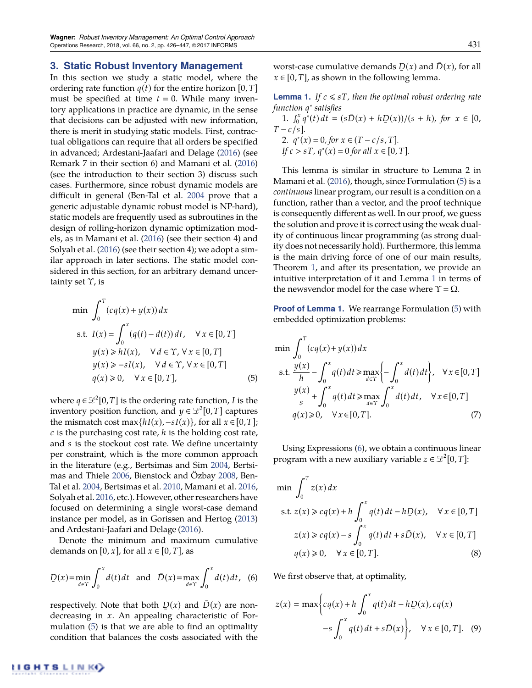# **3. Static Robust Inventory Management**

In this section we study a static model, where the ordering rate function  $q(t)$  for the entire horizon [0, *T*] must be specified at time  $t = 0$ . While many inventory applications in practice are dynamic, in the sense that decisions can be adjusted with new information, there is merit in studying static models. First, contractual obligations can require that all orders be specified in advanced; Ardestani-Jaafari and Delage (2016) (see Remark 7 in their section 6) and Mamani et al. (2016) (see the introduction to their section 3) discuss such cases. Furthermore, since robust dynamic models are difficult in general (Ben-Tal et al. 2004 prove that a generic adjustable dynamic robust model is NP-hard), static models are frequently used as subroutines in the design of rolling-horizon dynamic optimization models, as in Mamani et al. (2016) (see their section 4) and Solyalı et al. (2016) (see their section 4); we adopt a similar approach in later sections. The static model considered in this section, for an arbitrary demand uncertainty set  $\Upsilon$ , is

$$
\min \int_0^T (cq(x) + y(x)) dx
$$
  
s.t.  $I(x) = \int_0^x (q(t) - d(t)) dt$ ,  $\forall x \in [0, T]$   
 $y(x) \ge hI(x)$ ,  $\forall d \in \Upsilon$ ,  $\forall x \in [0, T]$   
 $y(x) \ge -sI(x)$ ,  $\forall d \in \Upsilon$ ,  $\forall x \in [0, T]$   
 $q(x) \ge 0$ ,  $\forall x \in [0, T]$ , (5)

where  $q \in \mathcal{L}^2[0,T]$  is the ordering rate function, *I* is the inventory position function, and  $y \in \mathcal{L}^2[0,T]$  captures the mismatch cost max $\{hI(x), -sI(x)\}$ , for all  $x \in [0, T]$ ; *c* is the purchasing cost rate, *h* is the holding cost rate, and *s* is the stockout cost rate. We define uncertainty per constraint, which is the more common approach in the literature (e.g., Bertsimas and Sim 2004, Bertsimas and Thiele 2006, Bienstock and Özbay 2008, Ben-Tal et al. 2004, Bertsimas et al. 2010, Mamani et al. 2016, Solyalı et al. 2016, etc.). However, other researchers have focused on determining a single worst-case demand instance per model, as in Gorissen and Hertog (2013) and Ardestani-Jaafari and Delage (2016).

Denote the minimum and maximum cumulative demands on  $[0, x]$ , for all  $x \in [0, T]$ , as

$$
D(x) = \min_{d \in \Upsilon} \int_0^x d(t) dt \text{ and } \bar{D}(x) = \max_{d \in \Upsilon} \int_0^x d(t) dt, \tag{6}
$$

respectively. Note that both  $D(x)$  and  $\bar{D}(x)$  are non-<br>decreasing in  $x \wedge n$  appealing characteristic of Fordecreasing in *x*. An appealing characteristic of Formulation (5) is that we are able to find an optimality condition that balances the costs associated with the

worst-case cumulative demands  $D(x)$  and  $\bar{D}(x)$ , for all  $x \in [0, T]$  as shown in the following lemma.  $x \in [0, T]$ , as shown in the following lemma.

**Lemma 1.** *If*  $c \leq sT$ *, then the optimal robust ordering rate function q*⇤ *satisfies*

1. 
$$
\int_0^x q^*(t) dt = (s\overline{D}(x) + hD(x))/(s + h)
$$
, for  $x \in [0, T - c/s]$ .  
\n2.  $q^*(x) = 0$ , for  $x \in (T - c/s, T]$ .  
\nIf  $c > sT$ ,  $q^*(x) = 0$  for all  $x \in [0, T]$ .

This lemma is similar in structure to Lemma 2 in Mamani et al. (2016), though, since Formulation (5) is a *continuous*linear program, our result is a condition on a function, rather than a vector, and the proof technique is consequently different as well. In our proof, we guess the solution and prove it is correct using the weak duality of continuous linear programming (as strong duality does not necessarily hold). Furthermore, this lemma is the main driving force of one of our main results, Theorem 1, and after its presentation, we provide an intuitive interpretation of it and Lemma 1 in terms of the newsvendor model for the case where  $\Upsilon = \Omega$ .

**Proof of Lemma 1.** We rearrange Formulation (5) with embedded optimization problems:

$$
\min \int_0^T (cq(x)+y(x))dx
$$
\n
$$
\text{s.t. } \frac{y(x)}{h} - \int_0^x q(t)dt \ge \max_{d \in \Upsilon} \left\{-\int_0^x d(t)dt\right\}, \quad \forall x \in [0, T]
$$
\n
$$
\frac{y(x)}{s} + \int_0^x q(t)dt \ge \max_{d \in \Upsilon} \int_0^x d(t)dt, \quad \forall x \in [0, T]
$$
\n
$$
q(x) \ge 0, \quad \forall x \in [0, T]. \tag{7}
$$

Using Expressions (6), we obtain a continuous linear program with a new auxiliary variable  $z \in \mathcal{L}^2[0,T]$ :

$$
\min \int_0^T z(x) dx
$$
  
s.t.  $z(x) \ge cq(x) + h \int_0^x q(t) dt - hD(x), \quad \forall x \in [0, T]$   
 $z(x) \ge cq(x) - s \int_0^x q(t) dt + sD(x), \quad \forall x \in [0, T]$   
 $q(x) \ge 0, \quad \forall x \in [0, T].$  (8)

We first observe that, at optimality,

$$
z(x) = \max \left\{ cq(x) + h \int_0^x q(t) dt - hD(x), cq(x) -s \int_0^x q(t) dt + s\overline{D}(x) \right\}, \quad \forall x \in [0, T]. \quad (9)
$$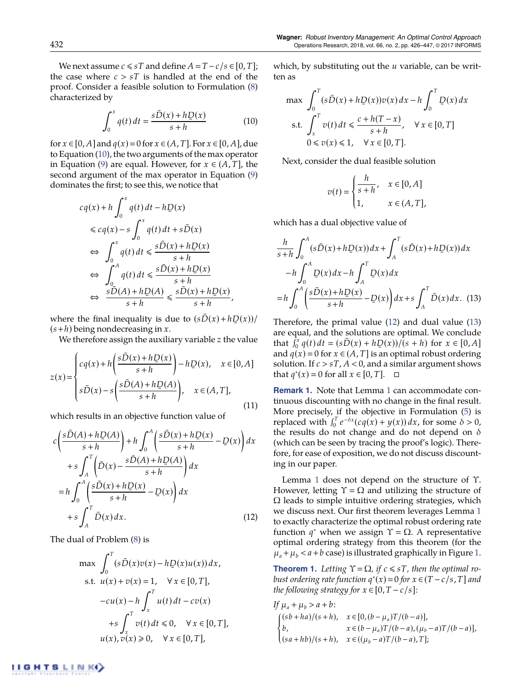We next assume  $c \leq sT$  and define  $A = T - c/s \in [0, T]$ ; the case where  $c > sT$  is handled at the end of the proof. Consider a feasible solution to Formulation (8) characterized by

$$
\int_0^x q(t) dt = \frac{s\bar{D}(x) + hD(x)}{s+h}
$$
(10)

for  $x \in [0, A]$  and  $q(x) = 0$  for  $x \in (A, T]$ . For  $x \in [0, A]$ , due to Equation (10), the two arguments of the max operator in Equation (9) are equal. However, for  $x \in (A, T]$ , the second argument of the max operator in Equation (9) dominates the first; to see this, we notice that

$$
cq(x) + h \int_0^x q(t) dt - hD(x)
$$
  
\n
$$
\leq cq(x) - s \int_0^x q(t) dt + s\bar{D}(x)
$$
  
\n
$$
\Leftrightarrow \int_0^x q(t) dt \leq \frac{s\bar{D}(x) + hD(x)}{s+h}
$$
  
\n
$$
\Leftrightarrow \int_0^A q(t) dt \leq \frac{s\bar{D}(x) + hD(x)}{s+h}
$$
  
\n
$$
\Leftrightarrow \frac{s\bar{D}(A) + hD(A)}{s+h} \leq \frac{s\bar{D}(x) + hD(x)}{s+h},
$$

where the final inequality is due to  $(s\bar{D}(x) + hD(x))/$ (*s*+*h*) being nondecreasing in *<sup>x</sup>*.

We therefore assign the auxiliary variable *z* the value

$$
z(x) = \begin{cases} cq(x) + h\left(\frac{s\bar{D}(x) + hD(x)}{s+h}\right) - hD(x), & x \in [0, A] \\ s\bar{D}(x) - s\left(\frac{s\bar{D}(A) + hD(A)}{s+h}\right), & x \in (A, T], \end{cases}
$$
\n(11)

which results in an objective function value of

$$
c\left(\frac{s\bar{D}(A) + hD(A)}{s+h}\right) + h \int_0^A \left(\frac{s\bar{D}(x) + hD(x)}{s+h} - D(x)\right) dx
$$
  
+
$$
s \int_A^T \left(\bar{D}(x) - \frac{s\bar{D}(A) + hD(A)}{s+h}\right) dx
$$
  
=
$$
h \int_0^A \left(\frac{s\bar{D}(x) + hD(x)}{s+h} - D(x)\right) dx
$$
  
+
$$
s \int_A^T \bar{D}(x) dx.
$$
 (12)

The dual of Problem (8) is

$$
\max \int_0^T (s\bar{D}(x)v(x) - h\underline{D}(x)u(x)) dx,
$$
  
s.t.  $u(x) + v(x) = 1$ ,  $\forall x \in [0, T]$ ,  
 $-cu(x) - h \int_x^T u(t) dt - cv(x)$   
 $+ s \int_x^T v(t) dt \le 0$ ,  $\forall x \in [0, T]$ ,  
 $u(x), v(x) \ge 0$ ,  $\forall x \in [0, T]$ ,

which, by substituting out the *u* variable, can be written as

$$
\max \int_0^T (s\bar{D}(x) + hD(x))v(x) dx - h \int_0^T D(x) dx
$$
  
s.t. 
$$
\int_x^T v(t) dt \le \frac{c + h(T - x)}{s + h}, \quad \forall x \in [0, T]
$$

$$
0 \le v(x) \le 1, \quad \forall x \in [0, T].
$$

Next, consider the dual feasible solution

$$
v(t) = \begin{cases} \frac{h}{s+h}, & x \in [0,A] \\ 1, & x \in (A,T], \end{cases}
$$

which has a dual objective value of

$$
\frac{h}{s+h} \int_0^A (s\bar{D}(x) + hD(x))dx + \int_A^T (s\bar{D}(x) + hD(x))dx
$$
  
\n
$$
-h \int_0^A D(x)dx - h \int_A^T D(x)dx
$$
  
\n
$$
= h \int_0^A \left(\frac{s\bar{D}(x) + hD(x)}{s+h} - D(x)\right)dx + s \int_A^T \bar{D}(x)dx. \quad (13)
$$

Therefore, the primal value (12) and dual value (13) are equal, and the solutions are optimal. We conclude that  $\int_0^x q(t) dt = (s\bar{D}(x) + hD(x)) / (s+h)$  for  $x \in [0, A]$ <br>and  $q(x) = 0$  for  $x \in (A, T]$  is an optimal repute ordering and  $q(x) = 0$  for  $x \in (A, T]$  is an optimal robust ordering solution. If  $c > sT$ ,  $A < 0$ , and a similar argument shows that *q*<sup>∗</sup>(*x*) = 0 for all *x* ∈ [0, *T*].  $□$ 

**Remark 1.** Note that Lemma 1 can accommodate continuous discounting with no change in the final result. More precisely, if the objective in Formulation (5) is replaced with  $\int_0^T e^{-\delta x} (c q(x) + y(x)) dx$ , for some  $\delta > 0$ , the results do not change and do not depend on  $\delta$ (which can be seen by tracing the proof's logic). Therefore, for ease of exposition, we do not discuss discounting in our paper.

Lemma 1 does not depend on the structure of  $\Upsilon$ . However, letting  $\Upsilon = \Omega$  and utilizing the structure of  $\Omega$  leads to simple intuitive ordering strategies, which we discuss next. Our first theorem leverages Lemma 1 to exactly characterize the optimal robust ordering rate function  $q^*$  when we assign  $\Upsilon = \Omega$ . A representative optimal ordering strategy from this theorem (for the  $\mu_a + \mu_b < a + b$  case) is illustrated graphically in Figure 1.

**Theorem 1.** Letting  $\Upsilon = \Omega$ , if  $c \leq sT$ , then the optimal ro*bust ordering rate function*  $q^*(x) = 0$  *for*  $x \in (T - c/s, T]$  *and the following strategy for*  $x \in [0, T - c/s]$ *:* 

$$
\begin{aligned} & \text{If } \mu_a + \mu_b > a + b: \\ & \begin{cases} (sb + ha)/(s + h), & x \in [0, (b - \mu_a)T/(b - a)], \\ b, & x \in (b - \mu_a)T/(b - a), (\mu_b - a)T/(b - a)], \\ (sa + hb)/(s + h), & x \in ((\mu_b - a)T/(b - a), T]; \end{cases} \end{aligned}
$$

**IIGHTSLINKI**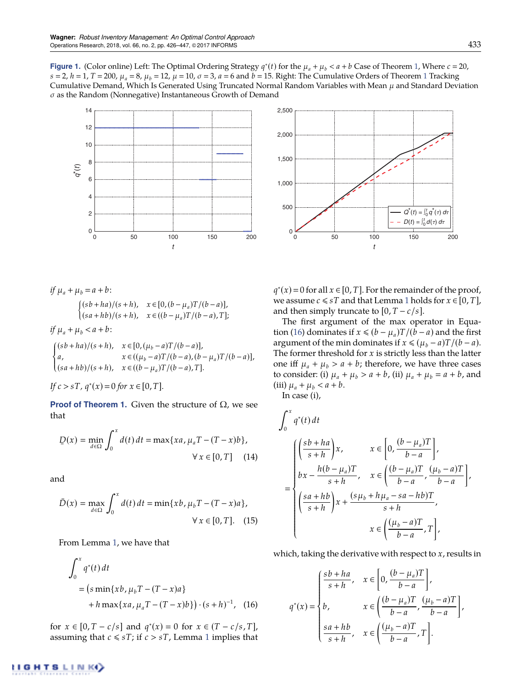**Figure 1.** (Color online) Left: The Optimal Ordering Strategy  $q^*(t)$  for the  $\mu_a + \mu_b < a + b$  Case of Theorem 1, Where  $c = 20$ ,  $s = 2$ ,  $h = 1$ ,  $T = 200$ ,  $\mu_a = 8$ ,  $\mu_b = 12$ ,  $\mu = 10$ ,  $\sigma = 3$ ,  $a = 6$  and  $b = 15$ . Right: The Cumulative Orders of Theorem 1 Tracking Cumulative Demand, Which Is Generated Using Truncated Normal Random Variables with Mean  $\mu$  and Standard Deviation  $\sigma$  as the Random (Nonnegative) Instantaneous Growth of Demand





*if*  $\mu_a + \mu_b = a + b$ :  $\int (sb + ha)/(s + h), \quad x \in [0, (b - \mu_a)T/(b - a)],$  $(sa + hb)/(s + h), \quad x \in ((b - \mu_a)T/(b - a), T];$ 

*if*  $\mu_a + \mu_b < a + b$ :

$$
\begin{cases}\n(sb+ha)/(s+h), & x \in [0, (\mu_b - a)T/(b-a)], \\
a, & x \in ((\mu_b - a)T/(b-a), (b-\mu_a)T/(b-a)], \\
(sa+hb)/(s+h), & x \in ((b-\mu_a)T/(b-a), T].\n\end{cases}
$$

If 
$$
c > sT
$$
,  $q^*(x) = 0$  for  $x \in [0, T]$ .

**Proof of Theorem 1.** Given the structure of  $\Omega$ , we see that

$$
\underline{D}(x) = \min_{d \in \Omega} \int_0^x d(t) dt = \max\{xa, \mu_a T - (T - x)b\},
$$
  

$$
\forall x \in [0, T] \quad (14)
$$

and

$$
\bar{D}(x) = \max_{d \in \Omega} \int_0^x d(t) dt = \min\{xb, \mu_b T - (T - x)a\},
$$
  
  $\forall x \in [0, T].$  (15)

From Lemma 1, we have that

$$
\int_0^x q^*(t) dt
$$
  
=  $(s \min\{xb, \mu_b T - (T - x)a\}$   
+  $h \max\{xa, \mu_a T - (T - x)b\} ) \cdot (s + h)^{-1}$ , (16)

for  $x \in [0, T - c/s]$  and  $q^*(x) = 0$  for  $x \in (T - c/s, T]$ , assuming that  $c \leq sT$ ; if  $c > sT$ , Lemma 1 implies that

 $q^*(x) = 0$  for all  $x \in [0, T]$ . For the remainder of the proof, we assume  $c \leq sT$  and that Lemma 1 holds for  $x \in [0, T]$ , and then simply truncate to  $[0, T - c/s]$ .

The first argument of the max operator in Equation (16) dominates if  $x \le (b - \mu_a)T/(b - a)$  and the first argument of the min dominates if  $x \le (\mu_b - a)T/(b - a)$ . The former threshold for *x* is strictly less than the latter one iff  $\mu_a + \mu_b > a + b$ ; therefore, we have three cases to consider: (i)  $\mu_a + \mu_b > a + b$ , (ii)  $\mu_a + \mu_b = a + b$ , and (iii)  $\mu_a + \mu_b < a + b$ .

In case (i),

$$
\int_0^x q^*(t) dt
$$
\n
$$
= \begin{cases}\n\left(\frac{sb+ha}{s+h}\right)x, & x \in \left[0, \frac{(b-\mu_a)T}{b-a}\right], \\
bx - \frac{h(b-\mu_a)T}{s+h}, & x \in \left(\frac{(b-\mu_a)T}{b-a}, \frac{(\mu_b-a)T}{b-a}\right], \\
\left(\frac{sa+hb}{s+h}\right)x + \frac{(s\mu_b+h\mu_a - sa-hb)T}{s+h}, \\
x \in \left(\frac{(\mu_b-a)T}{b-a}, T\right],\n\end{cases}
$$

which, taking the derivative with respect to *x*, results in

$$
q^*(x) = \begin{cases} \frac{sb+ha}{s+h}, & x \in \left[0, \frac{(b-\mu_a)T}{b-a}\right], \\ b, & x \in \left(\frac{(b-\mu_a)T}{b-a}, \frac{(\mu_b-a)T}{b-a}\right], \\ \frac{sa+hb}{s+h}, & x \in \left(\frac{(\mu_b-a)T}{b-a}, T\right]. \end{cases}
$$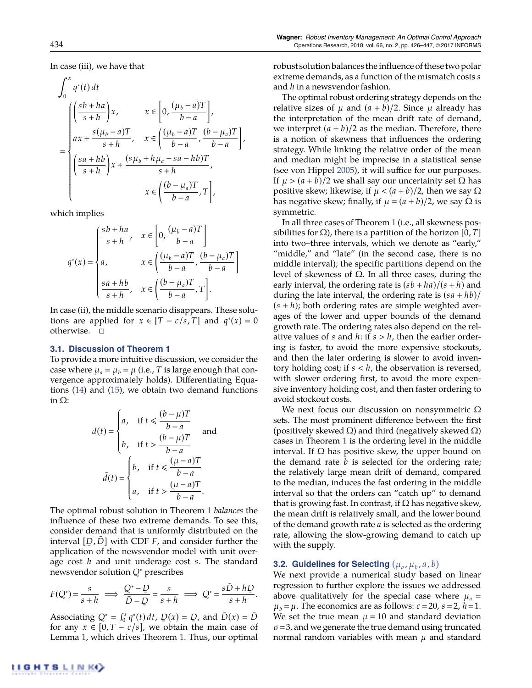In case (iii), we have that

$$
\int_0^x q^*(t) dt
$$
\n
$$
= \begin{cases}\n\left(\frac{sb+ha}{s+h}\right)x, & x \in \left[0, \frac{(\mu_b-a)T}{b-a}\right], \\
ax + \frac{s(\mu_b-a)T}{s+h}, & x \in \left(\frac{(\mu_b-a)T}{b-a}, \frac{(b-\mu_a)T}{b-a}\right], \\
\left(\frac{sa+hb}{s+h}\right)x + \frac{(s\mu_b+h\mu_a-sa-hb)T}{s+h}, \\
x \in \left(\frac{(b-\mu_a)T}{b-a}, T\right],\n\end{cases}
$$

which implies

$$
q^*(x) = \begin{cases} \frac{sb+ha}{s+h}, & x \in \left[0, \frac{(\mu_b-a)T}{b-a}\right] \\ a, & x \in \left(\frac{(\mu_b-a)T}{b-a}, \frac{(b-\mu_a)T}{b-a}\right] \\ \frac{sa+hb}{s+h}, & x \in \left(\frac{(b-\mu_a)T}{b-a}, T\right]. \end{cases}
$$

In case (ii), the middle scenario disappears. These solutions are applied for  $x \in [T - c/s, T]$  and  $q^*(x) = 0$ otherwise.  $\square$ 

# **3.1. Discussion of Theorem 1**

To provide a more intuitive discussion, we consider the case where  $\mu_a = \mu_b = \mu$  (i.e., *T* is large enough that convergence approximately holds). Differentiating Equations (14) and (15), we obtain two demand functions in  $\Omega$ :

$$
\underline{d}(t) = \begin{cases} a, & \text{if } t \le \frac{(b-\mu)T}{b-a} \\ b, & \text{if } t > \frac{(b-\mu)T}{b-a} \end{cases} \text{ and }
$$
\n
$$
\bar{d}(t) = \begin{cases} b, & \text{if } t \le \frac{(\mu-a)T}{b-a} \\ a, & \text{if } t > \frac{(\mu-a)T}{b-a} \end{cases}.
$$

The optimal robust solution in Theorem 1 *balances* the influence of these two extreme demands. To see this, consider demand that is uniformly distributed on the interval  $[D, \bar{D}]$  with CDF  $F$ , and consider further the  $\frac{1}{2}$  application of the newsvendor model with unit overage cost *h* and unit underage cost *s*. The standard newsvendor solution *Q*⇤ prescribes

$$
F(Q^*) = \frac{s}{s+h} \implies \frac{Q^*-Q}{\overline{D}-Q} = \frac{s}{s+h} \implies Q^* = \frac{s\overline{D}+hQ}{s+h}.
$$

Associating  $Q^* = \int_0^x q^*(t) dt$ ,  $\overline{D}(x) = \overline{D}$ , and  $\overline{D}(x) = \overline{D}$ <br>for any  $x \in [0, T - c/c]$ , we obtain the main case of for any  $x \in [0, T - c/s]$ , we obtain the main case of Lemma 1, which drives Theorem 1. Thus, our optimal robust solution balances theinfluence of these two polar extreme demands, as a function of the mismatch costs *s* and *h* in a newsvendor fashion.

The optimal robust ordering strategy depends on the relative sizes of  $\mu$  and  $(a + b)/2$ . Since  $\mu$  already has the interpretation of the mean drift rate of demand, we interpret  $(a + b)/2$  as the median. Therefore, there is a notion of skewness that influences the ordering strategy. While linking the relative order of the mean and median might be imprecise in a statistical sense (see von Hippel 2005), it will suffice for our purposes. If  $\mu > (a + b)/2$  we shall say our uncertainty set  $\Omega$  has positive skew; likewise, if  $\mu < (a + b)/2$ , then we say  $\Omega$ has negative skew; finally, if  $\mu = (a + b)/2$ , we say  $\Omega$  is symmetric.

In all three cases of Theorem 1 (i.e., all skewness possibilities for  $\Omega$ ), there is a partition of the horizon [0, *T*] into two–three intervals, which we denote as "early," "middle," and "late" (in the second case, there is no middle interval); the specific partitions depend on the level of skewness of  $\Omega$ . In all three cases, during the early interval, the ordering rate is  $(sb + ha)/(s + h)$  and during the late interval, the ordering rate is  $(sa + hb)/$  $(s + h)$ ; both ordering rates are simple weighted averages of the lower and upper bounds of the demand growth rate. The ordering rates also depend on the relative values of *s* and *h*: if *s* > *h*, then the earlier ordering is faster, to avoid the more expensive stockouts, and then the later ordering is slower to avoid inventory holding cost; if *s* < *h*, the observation is reversed, with slower ordering first, to avoid the more expensive inventory holding cost, and then faster ordering to avoid stockout costs.

We next focus our discussion on nonsymmetric  $\Omega$ sets. The most prominent difference between the first (positively skewed  $\Omega$ ) and third (negatively skewed  $\Omega$ ) cases in Theorem 1 is the ordering level in the middle interval. If  $\Omega$  has positive skew, the upper bound on the demand rate *b* is selected for the ordering rate; the relatively large mean drift of demand, compared to the median, induces the fast ordering in the middle interval so that the orders can "catch up" to demand that is growing fast. In contrast, if  $\Omega$  has negative skew, the mean drift is relatively small, and the lower bound of the demand growth rate *a* is selected as the ordering rate, allowing the slow-growing demand to catch up with the supply.

# **3.2. Guidelines for Selecting**  $(\mu_a, \mu_b, a, b)$

We next provide a numerical study based on linear regression to further explore the issues we addressed above qualitatively for the special case where  $\mu_a =$  $\mu_b = \mu$ . The economics are as follows:  $c = 20$ ,  $s = 2$ ,  $h = 1$ . We set the true mean  $\mu = 10$  and standard deviation  $\sigma$  = 3, and we generate the true demand using truncated normal random variables with mean  $\mu$  and standard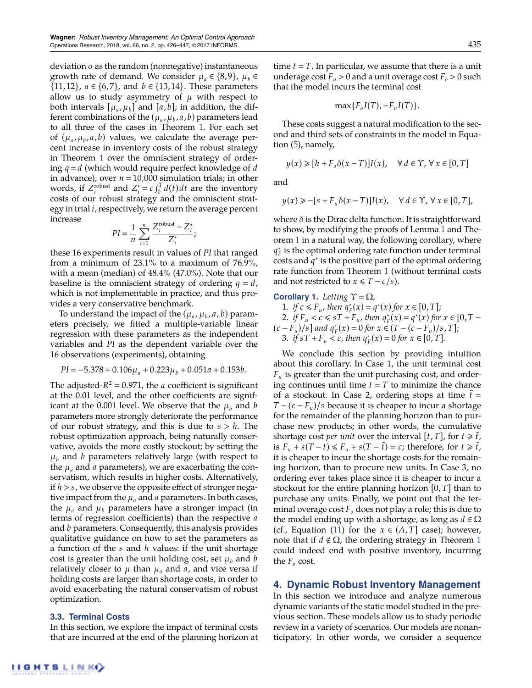deviation  $\sigma$  as the random (nonnegative) instantaneous growth rate of demand. We consider  $\mu_a \in \{8, 9\}$ ,  $\mu_b \in$  $\{11, 12\}$ ,  $a \in \{6, 7\}$ , and  $b \in \{13, 14\}$ . These parameters allow us to study asymmetry of  $\mu$  with respect to both intervals  $[\mu_a, \mu_b]$  and  $[a, b]$ ; in addition, the different combinations of the ( $\mu_a$ ,  $\mu_b$ ,  $a$ ,  $b$ ) parameters lead to all three of the cases in Theorem 1. For each set of  $(\mu_a, \mu_b, a, b)$  values, we calculate the average percent increase in inventory costs of the robust strategy in Theorem 1 over the omniscient strategy of ordering  $q = d$  (which would require perfect knowledge of  $d$ in advance), over  $n = 10,000$  simulation trials; in other words, if  $Z_i^{\text{robust}}$  and  $Z_i^* = c \int_0^T d(t) dt$  are the inventory costs of our robust strategy and the omniscient strategy in trial *i*, respectively, we return the average percent increase

$$
PI = \frac{1}{n} \sum_{i=1}^{n} \frac{Z_i^{\text{robust}} - Z_i^*}{Z_i^*};
$$

these 16 experiments result in values of *PI* that ranged from a minimum of 23.1% to a maximum of 76.9%, with a mean (median) of 48.4% (47.0%). Note that our baseline is the omniscient strategy of ordering  $q = d$ , which is not implementable in practice, and thus provides a very conservative benchmark.

To understand the impact of the  $(\mu_a, \mu_b, a, b)$  parameters precisely, we fitted a multiple-variable linear regression with these parameters as the independent variables and *PI* as the dependent variable over the 16 observations (experiments), obtaining

$$
PI = -5.378 + 0.106\mu_a + 0.223\mu_b + 0.051a + 0.153b.
$$

The adjusted- $R^2 = 0.971$ , the *a* coefficient is significant at the 0.01 level, and the other coefficients are significant at the 0.001 level. We observe that the  $\mu_b$  and *b* parameters more strongly deteriorate the performance of our robust strategy, and this is due to *s* > *h*. The robust optimization approach, being naturally conservative, avoids the more costly stockout; by setting the  $\mu_b$  and *b* parameters relatively large (with respect to the  $\mu_a$  and *a* parameters), we are exacerbating the conservatism, which results in higher costs. Alternatively, if *h* > *s*, we observe the opposite effect of stronger negative impact from the  $\mu_a$  and  $a$  parameters. In both cases, the  $\mu_a$  and  $\mu_b$  parameters have a stronger impact (in terms of regression coefficients) than the respective *a* and *b* parameters. Consequently, this analysis provides qualitative guidance on how to set the parameters as a function of the *s* and *h* values: if the unit shortage cost is greater than the unit holding cost, set  $\mu_b$  and *b* relatively closer to  $\mu$  than  $\mu_a$  and  $\alpha$ , and vice versa if holding costs are larger than shortage costs, in order to avoid exacerbating the natural conservatism of robust optimization.

# **3.3. Terminal Costs**

In this section, we explore the impact of terminal costs that are incurred at the end of the planning horizon at time  $t = T$ . In particular, we assume that there is a unit underage cost  $F_u > 0$  and a unit overage cost  $F_o > 0$  such that the model incurs the terminal cost

$$
\max\{F_oI(T), -F_uI(T)\}.
$$

These costs suggest a natural modification to the second and third sets of constraints in the model in Equation (5), namely,

$$
y(x) \geq [h+F_o \delta(x-T)] I(x), \quad \forall \, d \in \Upsilon, \, \forall \, x \in [0,T]
$$

and

$$
y(x) \geq -[s + F_u \delta(x - T)]I(x), \quad \forall d \in \Upsilon, \forall x \in [0, T],
$$

where  $\delta$  is the Dirac delta function. It is straightforward to show, by modifying the proofs of Lemma 1 and Theorem 1 in a natural way, the following corollary, where  $q_F^*$  is the optimal ordering rate function under terminal costs and  $q^*$  is the positive part of the optimal ordering rate function from Theorem 1 (without terminal costs and not restricted to  $x \leq T - c/s$ ).

**Corollary 1.** *Letting*  $\Upsilon = \Omega$ *,* 

1. *if*  $c \le F_u$ , then  $q_F^*(x) = q^*(x)$  for  $x \in [0, T]$ ; 2. *if*  $F_u < c \leq sT + F_u$ , then  $q_F^*(x) = q^*(x)$  for  $x \in [0, T (c - F_u)/s$  *and*  $q_F^*(x) = 0$  *for*  $x \in (T - (c - F_u)/s, T]$ *;* 3. *if*  $sT + F_u < c$ , then  $q_F^*(x) = 0$  for  $x \in [0, T]$ .

We conclude this section by providing intuition about this corollary. In Case 1, the unit terminal cost *Fu* is greater than the unit purchasing cost, and ordering continues until time  $t = T$  to minimize the chance of a stockout. In Case 2, ordering stops at time  $\tilde{t}$  =  $T - (c - F_u)/s$  because it is cheaper to incur a shortage for the remainder of the planning horizon than to purchase new products; in other words, the cumulative shortage cost *per unit* over the interval  $[t, T]$ , for  $t \geq \tilde{t}$ , is  $F_u + s(T - t) \le F_u + s(T - \tilde{t}) = c$ ; therefore, for  $t \ge \tilde{t}$ , it is cheaper to incur the shortage costs for the remaining horizon, than to procure new units. In Case 3, no ordering ever takes place since it is cheaper to incur a stockout for the entire planning horizon [0, *T*] than to purchase any units. Finally, we point out that the terminal overage cost  $F<sub>o</sub>$  does not play a role; this is due to the model ending up with a shortage, as long as  $d \in \Omega$ (cf., Equation (11) for the  $x \in (A, T]$  case); however, note that if  $d \notin \Omega$ , the ordering strategy in Theorem 1 could indeed end with positive inventory, incurring the  $F_{o}$  cost.

# **4. Dynamic Robust Inventory Management**

In this section we introduce and analyze numerous dynamic variants of the static model studied in the previous section. These models allow us to study periodic review in a variety of scenarios. Our models are nonanticipatory. In other words, we consider a sequence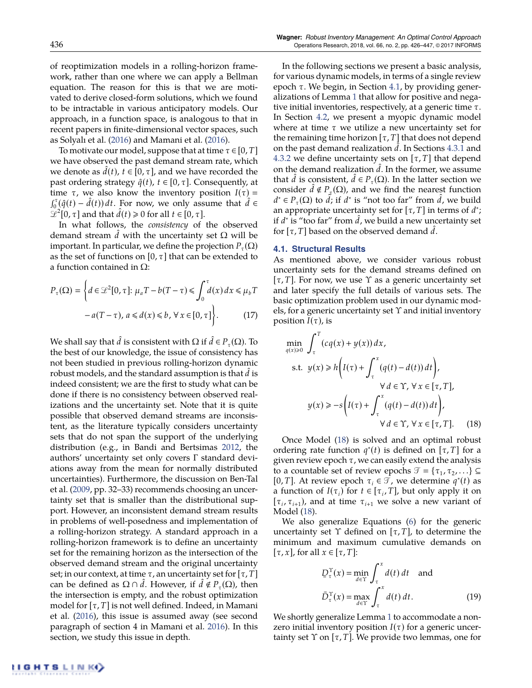as Solyalı et al. (2016) and Mamani et al. (2016). To motivate our model, suppose that at time  $\tau \in [0, T]$ we have observed the past demand stream rate, which we denote as  $\bar{d}(t)$ ,  $t \in [0, \tau]$ , and we have recorded the past ordering strategy  $\hat{q}(t)$ ,  $t \in [0, \tau]$ . Consequently, at time  $\tau$ , we also know the inventory position  $I(\tau)$  =  $\int_0^{\tau} (\hat{q}(t) - \hat{d}(t)) dt$ . For now, we only assume that  $\hat{d} \in$  $\mathscr{L}^2[0, \tau]$  and that  $\hat{d}(t) \geq 0$  for all  $t \in [0, \tau]$ .

In what follows, the *consistency* of the observed demand stream  $\tilde{d}$  with the uncertainty set  $\Omega$  will be important. In particular, we define the projection  $P_{\tau}(\Omega)$ as the set of functions on [0,  $\tau$ ] that can be extended to a function contained in  $\Omega$ :

$$
P_{\tau}(\Omega) = \left\{ d \in \mathcal{L}^{2}[0, \tau] : \mu_{a}T - b(T - \tau) \leq \int_{0}^{\tau} d(x) dx \leq \mu_{b}T - a(T - \tau), a \leq d(x) \leq b, \forall x \in [0, \tau] \right\}.
$$
 (17)

We shall say that *d* is consistent with  $\Omega$  if  $d \in P_{\tau}(\Omega)$ . To the best of our knowledge, the issue of consistency has not been studied in previous rolling-horizon dynamic robust models, and the standard assumption is that  $d$  is indeed consistent; we are the first to study what can be done if there is no consistency between observed realizations and the uncertainty set. Note that it is quite possible that observed demand streams are inconsistent, as the literature typically considers uncertainty sets that do not span the support of the underlying distribution (e.g., in Bandi and Bertsimas 2012, the authors' uncertainty set only covers  $\Gamma$  standard deviations away from the mean for normally distributed uncertainties). Furthermore, the discussion on Ben-Tal et al. (2009, pp. 32–33) recommends choosing an uncertainty set that is smaller than the distributional support. However, an inconsistent demand stream results in problems of well-posedness and implementation of a rolling-horizon strategy. A standard approach in a rolling-horizon framework is to define an uncertainty set for the remaining horizon as the intersection of the observed demand stream and the original uncertainty set; in our context, at time  $\tau$ , an uncertainty set for  $[\tau, T]$ can be defined as  $\Omega \cap d$ . However, if  $d \notin P_{\tau}(\Omega)$ , then the intersection is empty, and the robust optimization model for  $[\tau, T]$  is not well defined. Indeed, in Mamani et al. (2016), this issue is assumed away (see second paragraph of section 4 in Mamani et al. 2016). In this section, we study this issue in depth.

In the following sections we present a basic analysis, for various dynamic models, in terms of a single review epoch  $\tau$ . We begin, in Section 4.1, by providing generalizations of Lemma 1 that allow for positive and negative initial inventories, respectively, at a generic time  $\tau$ . In Section 4.2, we present a myopic dynamic model where at time  $\tau$  we utilize a new uncertainty set for the remaining time horizon  $[\tau, T]$  that does not depend on the past demand realization d. In Sections 4.3.1 and 4.3.2 we define uncertainty sets on  $[\tau, T]$  that depend on the demand realization *d*. In the former, we assume that *d* is consistent,  $d \in P_{\tau}(\Omega)$ . In the latter section we consider  $d \notin P_{\tau}(\Omega)$ , and we find the nearest function  $d^* \in P_{\tau}(\Omega)$  to *d*; if *d*<sup>∗</sup> is "not too far" from *d*, we build an appropriate uncertainty set for  $[\tau, T]$  in terms of  $d^*$ ; if *d*<sup>\*</sup> is "too far" from *d*, we build a new uncertainty set for  $[\tau, T]$  based on the observed demand d.

### **4.1. Structural Results**

As mentioned above, we consider various robust uncertainty sets for the demand streams defined on  $[\tau, T]$ . For now, we use  $\Upsilon$  as a generic uncertainty set and later specify the full details of various sets. The basic optimization problem used in our dynamic models, for a generic uncertainty set  $\Upsilon$  and initial inventory position  $I(\tau)$ , is

$$
\min_{q(x)\geq 0} \int_{\tau}^{T} (cq(x) + y(x)) dx,
$$
\n
$$
\text{s.t. } y(x) \geq h \left( I(\tau) + \int_{\tau}^{x} (q(t) - d(t)) dt \right),
$$
\n
$$
\forall d \in \Upsilon, \forall x \in [\tau, T],
$$
\n
$$
y(x) \geq -s \left( I(\tau) + \int_{\tau}^{x} (q(t) - d(t)) dt \right),
$$
\n
$$
\forall d \in \Upsilon, \forall x \in [\tau, T]. \quad (18)
$$

Once Model (18) is solved and an optimal robust ordering rate function  $q^*(t)$  is defined on  $[\tau, T]$  for a given review epoch  $\tau$ , we can easily extend the analysis to a countable set of review epochs  $\mathcal{T} = {\tau_1, \tau_2, \ldots} \subseteq$ [0, *T*]. At review epoch  $\tau_i \in \mathcal{T}$ , we determine  $q^*(t)$  as a function of  $I(\tau_i)$  for  $t \in [\tau_i, T]$ , but only apply it on  $[\tau_i, \tau_{i+1})$ , and at time  $\tau_{i+1}$  we solve a new variant of Model (18).

We also generalize Equations (6) for the generic uncertainty set  $\Upsilon$  defined on  $[\tau, T]$ , to determine the minimum and maximum cumulative demands on  $[\tau, x]$ , for all  $x \in [\tau, T]$ :

$$
D_{\tau}^{\Upsilon}(x) = \min_{d \in \Upsilon} \int_{\tau}^{x} d(t) dt \text{ and}
$$

$$
\bar{D}_{\tau}^{\Upsilon}(x) = \max_{d \in \Upsilon} \int_{\tau}^{x} d(t) dt. \tag{19}
$$

We shortly generalize Lemma 1 to accommodate a nonzero initial inventory position  $I(\tau)$  for a generic uncertainty set  $\Upsilon$  on  $[\tau, T]$ . We provide two lemmas, one for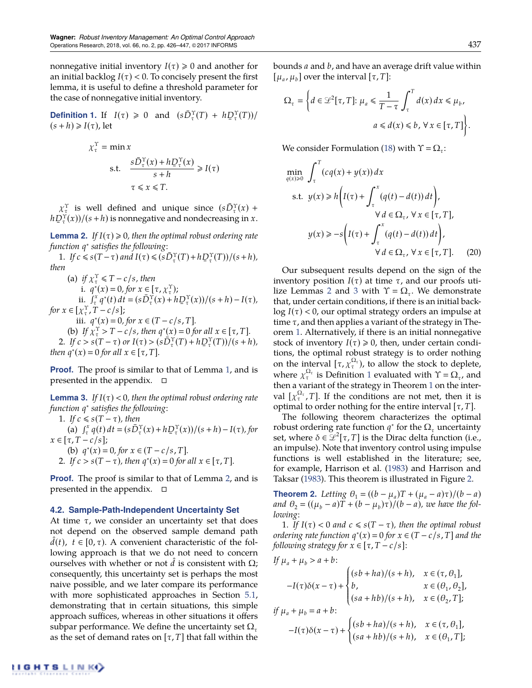nonnegative initial inventory  $I(\tau) \geq 0$  and another for an initial backlog  $I(\tau) < 0$ . To concisely present the first lemma, it is useful to define a threshold parameter for the case of nonnegative initial inventory.

**Definition 1.** If  $I(\tau) \ge 0$  and  $(s\overline{D}_{\tau}^{\Upsilon}(T) + h\overline{D}_{\tau}^{\Upsilon}(T))/$  $(s + h) \geqslant I(\tau)$ , let

$$
\chi_{\tau}^{\Upsilon} = \min x
$$
  
s.t. 
$$
\frac{s\bar{D}_{\tau}^{\Upsilon}(x) + h\bar{D}_{\tau}^{\Upsilon}(x)}{s+h} \ge I(\tau)
$$

$$
\tau \le x \le T.
$$

 $\chi_{\tau}^{\Upsilon}$  is well defined and unique since  $(s\bar{D}_{\tau}^{\Upsilon}(x))$  +  $hD_t^{\gamma}(x)/(s+h)$  is nonnegative and nondecreasing in *x*.

**Lemma 2.** *If*  $I(\tau) \ge 0$ *, then the optimal robust ordering rate function q*⇤ *satisfies the following:*

1. *If*  $c \le s(T - \tau)$  and  $I(\tau) \le (s\bar{D}_{\tau}^{\Upsilon}(T) + h\bar{D}_{\tau}^{\Upsilon}(T))/(s+h)$ , *then*

(a) *if*  $\chi^{\Upsilon}$   $\leq$  *T*  $-c$  /*s, then* i.  $q^*(x) = 0$ , for  $x \in [\tau, \chi^{\Upsilon}_\tau);$ ii.  $\int_{\tau}^{x} q^{*}(t) dt = (s\overline{D}_{\tau}^{\Upsilon}(x) + h\overline{D}_{\tau}^{\Upsilon}(x))/(s+h) - I(\tau),$ *for*  $x \in [\chi_{\tau}^{\Upsilon}, T - c/s]$ ; iii.  $q^*(x) = 0$ , for  $x \in (T - c/s, T]$ . (b) *If*  $\chi^T_\tau > T - c/s$ *, then*  $q^*(x) = 0$  *for all*  $x \in [\tau, T]$ *.* 

2. If  $c > s(T - \tau)$  or  $I(\tau) > (s\bar{D}_{\tau}^{\gamma}(T) + hD_{\tau}^{\gamma}(T))/(s + h)$ ,<br> $m \sigma^*(x) = 0$  for all  $x \in [\tau, T]$ *then*  $q^*(x) = 0$  *for all*  $x \in [\tau, T]$ *.* 

**Proof.** The proof is similar to that of Lemma 1, and is presented in the appendix.  $\Box$ 

**Lemma 3.** If  $I(\tau) < 0$ , then the optimal robust ordering rate *function q*⇤ *satisfies the following:*

1. If  $c \leq s(T - \tau)$ , then  $\frac{d}{dx} \int_{\tau}^{x} q(t) dt = (s\bar{D}_{\tau}^{\Upsilon}(x) + h\bar{D}_{\tau}^{\Upsilon}(x))/(s+h) - I(\tau),$  for  $x \in [\tau, T - c/s]$ ; (b)  $q^*(x) = 0$ , for  $x \in (T - c/s, T]$ . 2. If  $c > s(T - \tau)$ , then  $q^*(x) = 0$  for all  $x \in [\tau, T]$ .

**Proof.** The proof is similar to that of Lemma 2, and is presented in the appendix.  $\Box$ 

## **4.2. Sample-Path-Independent Uncertainty Set**

At time  $\tau$ , we consider an uncertainty set that does not depend on the observed sample demand path  $d(t)$ ,  $t \in [0, \tau)$ . A convenient characteristic of the following approach is that we do not need to concern ourselves with whether or not  $d$  is consistent with  $\Omega;$ consequently, this uncertainty set is perhaps the most naive possible, and we later compare its performance with more sophisticated approaches in Section 5.1, demonstrating that in certain situations, this simple approach suffices, whereas in other situations it offers subpar performance. We define the uncertainty set  $\Omega$ <sub>r</sub> as the set of demand rates on  $[\tau, T]$  that fall within the bounds *a* and *b*, and have an average drift value within  $[\mu_a, \mu_b]$  over the interval  $[\tau, T]$ :

$$
\Omega_{\tau} = \left\{ d \in \mathcal{L}^{2}[\tau, T] : \mu_{a} \leq \frac{1}{T - \tau} \int_{\tau}^{T} d(x) dx \leq \mu_{b},
$$
  

$$
a \leq d(x) \leq b, \forall x \in [\tau, T] \right\}.
$$

We consider Formulation (18) with  $\Upsilon = \Omega_{\tau}$ :

$$
\min_{q(x)\geq 0} \int_{\tau}^{T} (cq(x) + y(x)) dx
$$
\n
$$
\text{s.t. } y(x) \geq h \left( I(\tau) + \int_{\tau}^{x} (q(t) - d(t)) dt \right),
$$
\n
$$
\forall d \in \Omega_{\tau}, \forall x \in [\tau, T],
$$
\n
$$
y(x) \geq -s \left( I(\tau) + \int_{\tau}^{x} (q(t) - d(t)) dt \right),
$$
\n
$$
\forall d \in \Omega_{\tau}, \forall x \in [\tau, T]. \tag{20}
$$

Our subsequent results depend on the sign of the inventory position  $I(\tau)$  at time  $\tau$ , and our proofs utilize Lemmas 2 and 3 with  $\Upsilon = \Omega_{\tau}$ . We demonstrate that, under certain conditions, if there is an initial back $log I(\tau)$  < 0, our optimal strategy orders an impulse at time  $\tau$ , and then applies a variant of the strategy in Theorem 1. Alternatively, if there is an initial nonnegative stock of inventory  $I(\tau) \ge 0$ , then, under certain conditions, the optimal robust strategy is to order nothing on the interval  $[\tau, \chi_{\tau}^{\Omega_{\tau}})$ , to allow the stock to deplete, where  $\chi_{\tau}^{\Omega_{\tau}}$  is Definition 1 evaluated with  $\Upsilon = \Omega_{\tau}$ , and then a variant of the strategy in Theorem 1 on the interval  $[\chi_{\tau}^{\Omega_{\tau}}, T]$ . If the conditions are not met, then it is optimal to order nothing for the entire interval  $[\tau, T]$ .

The following theorem characterizes the optimal robust ordering rate function  $q^*$  for the  $\Omega$ <sub>*r*</sub> uncertainty set, where  $\delta \in \mathcal{L}^2[\tau, T]$  is the Dirac delta function (i.e., an impulse). Note that inventory control using impulse functions is well established in the literature; see, for example, Harrison et al. (1983) and Harrison and Taksar (1983). This theorem is illustrated in Figure 2.

**Theorem 2.** Letting  $\theta_1 = ((b - \mu_a)T + (\mu_a - a)\tau)/(b - a)$ *and*  $\theta_2 = ((\mu_b - a)T + (b - \mu_b)\tau)/(b - a)$ , we have the fol*lowing:*

1. If  $I(\tau) < 0$  and  $c \leq s(T - \tau)$ , then the optimal robust *ordering rate function*  $q^*(x) = 0$  *for*  $x \in (T - c/s, T]$  *and the following strategy for*  $x \in [\tau, T - c/s]$ :

$$
\begin{aligned} &\textit{If}\;\mu_a + \mu_b > a + b;\\ &-I(\tau)\delta(x-\tau) + \begin{cases} (sb+ha)/(s+h), &x\in(\tau,\theta_1],\\ b, &x\in(\theta_1,\theta_2],\\ (sa+hb)/(s+h), &x\in(\theta_2,T]; \end{cases}\\ &\textit{if}\;\mu_a + \mu_b = a + b;\\ &-I(\tau)\delta(x-\tau) + \begin{cases} (sb+ha)/(s+h), &x\in(\tau,\theta_1],\\ (sa+hb)/(s+h), &x\in(\theta_1,T]; \end{cases} \end{aligned}
$$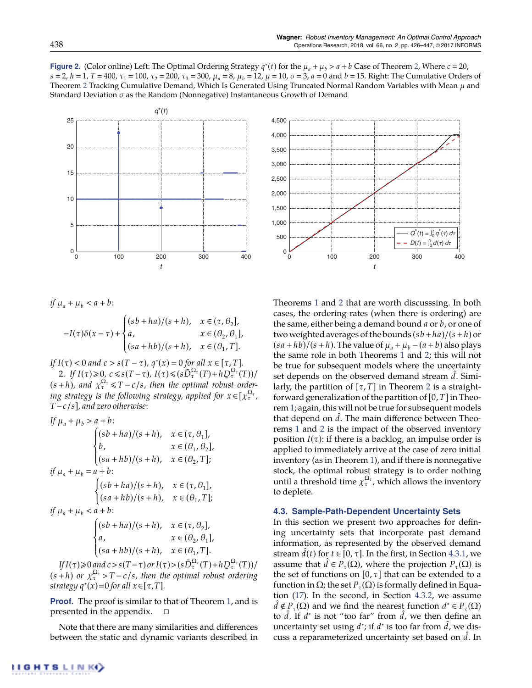**Figure 2.** (Color online) Left: The Optimal Ordering Strategy  $q^*(t)$  for the  $\mu_a + \mu_b > a + b$  Case of Theorem 2, Where  $c = 20$ ,  $s = 2$ ,  $h = 1$ ,  $T = 400$ ,  $\tau_1 = 100$ ,  $\tau_2 = 200$ ,  $\tau_3 = 300$ ,  $\mu_a = 8$ ,  $\mu_b = 12$ ,  $\mu = 10$ ,  $\sigma = 3$ ,  $a = 0$  and  $b = 15$ . Right: The Cumulative Orders of Theorem 2 Tracking Cumulative Demand, Which Is Generated Using Truncated Normal Random Variables with Mean  $\mu$  and Standard Deviation  $\sigma$  as the Random (Nonnegative) Instantaneous Growth of Demand



*if*  $\mu_a + \mu_b < a + b$ :

$$
-I(\tau)\delta(x-\tau)+\begin{cases} (sb+ha)/(s+h), & x\in(\tau,\theta_2],\\ a, & x\in(\theta_2,\theta_1],\\ (sa+hb)/(s+h), & x\in(\theta_1,T].\end{cases}
$$

: *If*  $I(\tau) < 0$  *and*  $c > s(T - \tau)$ *,*  $q^*(x) = 0$  for all  $x \in [\tau, T]$ *.* 2. If  $I(\tau) \geq 0$ ,  $c \leq s(T-\tau)$ ,  $I(\tau) \leq (s\overline{D}_{\tau}^{Q_{\tau}}(T) + h\overline{D}_{\tau}^{Q_{\tau}}(T))/t$  $(s+h)$ , and  $\chi_{\tau}^{\Omega_{\tau}} \leq T-c/s$ , then the optimal robust ordering strategy is the following strategy, applied for  $x \in [\chi_{\tau}^{\Omega_{\tau}}]$ , *Tc*/*s*]*, and zero otherwise:*

$$
If \mu_a + \mu_b > a + b:
$$
\n
$$
\begin{cases}\n(sb + ha)/(s + h), & x \in (\tau, \theta_1], \\
b, & x \in (\theta_1, \theta_2], \\
(sa + hb)/(s + h), & x \in (\theta_2, T];\n\end{cases}
$$
\n
$$
if \mu_a + \mu_b = a + b:
$$
\n
$$
\begin{cases}\n(sb + ha)/(s + h), & x \in (\tau, \theta_1], \\
(sa + hb)/(s + h), & x \in (\theta_1, T];\n\end{cases}
$$
\n
$$
if \mu_a + \mu_b < a + b:
$$
\n
$$
\begin{cases}\n(sb + ha)/(s + h), & x \in (\tau, \theta_2], \\
a, & x \in (\theta_2, \theta_1], \\
(sa + hb)/(s + h), & x \in (\theta_1, T].\n\end{cases}
$$
\n
$$
If I(\tau) \ge 0 \text{ and } c > s(T - \tau) \text{ or } I(\tau) > (sD_t^{C_\tau}(T) + h)
$$

*If***I**( $\tau$ )  $\geq$  0 *and*  $c > s(T - \tau)$  or  $I(\tau) > (s\bar{D}_{\tau}^{\Omega_{\tau}}(T) + h\bar{D}_{\tau})$ <br>  $I(h)$  or  $x^{\Omega_{\tau}} > T$ , also then the optimal reduct  $D_\tau^{\Omega_\tau}(T))/$  $(s+h)$  *or*  $\chi_{\tau}^{\Omega_{\tau}} > T - c/s$ , then the optimal robust ordering *strategy*  $q^*(x) = 0$  *for all*  $x \in [\tau, T]$ *.* 

**Proof.** The proof is similar to that of Theorem 1, and is presented in the appendix.  $\Box$ 

Note that there are many similarities and differences between the static and dynamic variants described in



Theorems 1 and 2 that are worth discusssing. In both cases, the ordering rates (when there is ordering) are the same, either being a demand bound *a* or *b*, or one of two weighted averages of the bounds (*sb*+*ha*)/(*s*+*h*) or  $(sa + hb)/(s + h)$ . The value of  $\mu_a + \mu_b - (a + b)$  also plays the same role in both Theorems 1 and 2; this will not be true for subsequent models where the uncertainty set depends on the observed demand stream d. Similarly, the partition of  $[\tau, T]$  in Theorem 2 is a straightforward generalization of the partition of  $[0, T]$  in Theorem 1; again, this will not be true for subsequent models that depend on  $\tilde{d}$ . The main difference between Theorems 1 and 2 is the impact of the observed inventory position  $I(\tau)$ : if there is a backlog, an impulse order is applied to immediately arrive at the case of zero initial inventory (as in Theorem 1), and if there is nonnegative stock, the optimal robust strategy is to order nothing until a threshold time  $\chi_{\tau}^{\Omega_{\tau}}$ , which allows the inventory to deplete.

# **4.3. Sample-Path-Dependent Uncertainty Sets**

In this section we present two approaches for defining uncertainty sets that incorporate past demand information, as represented by the observed demand stream  $d(t)$  for  $t \in [0, \tau]$ . In the first, in Section 4.3.1, we assume that  $d \in P_{\tau}(\Omega)$ , where the projection  $P_{\tau}(\Omega)$  is the set of functions on  $[0, \tau]$  that can be extended to a function in  $\Omega$ ; the set  $P_{\tau}(\Omega)$  is formally defined in Equation (17). In the second, in Section 4.3.2, we assume  $d \notin P_{\tau}(\Omega)$  and we find the nearest function  $d^* \in P_{\tau}(\Omega)$ to *d*. If *d*<sup>\*</sup> is not "too far" from *d*, we then define an uncertainty set using  $d^*$ ; if  $d^*$  is too far from  $d$ , we discuss a reparameterized uncertainty set based on d. In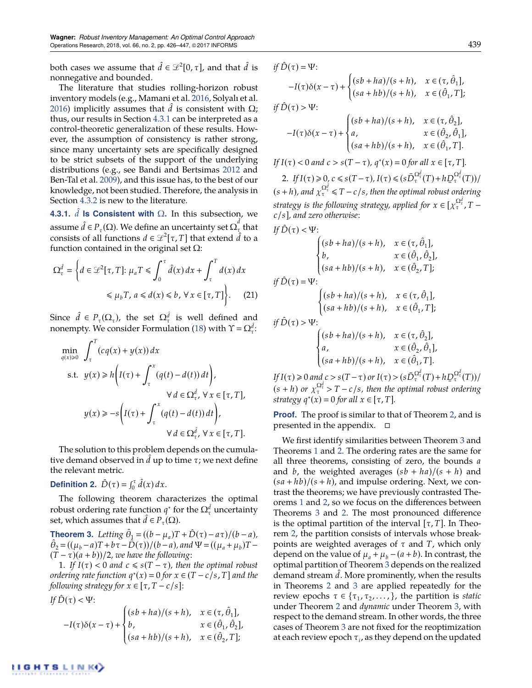both cases we assume that  $\hat{d} \in \mathcal{L}^2[0,\tau]$ , and that  $\hat{d}$  is nonnegative and bounded.

The literature that studies rolling-horizon robust inventory models (e.g., Mamani et al. 2016, Solyalı et al. 2016) implicitly assumes that  $d$  is consistent with  $\Omega$ ; thus, our results in Section 4.3.1 can be interpreted as a control-theoretic generalization of these results. However, the assumption of consistency is rather strong, since many uncertainty sets are specifically designed to be strict subsets of the support of the underlying distributions (e.g., see Bandi and Bertsimas 2012 and Ben-Tal et al. 2009), and this issue has, to the best of our knowledge, not been studied. Therefore, the analysis in Section 4.3.2 is new to the literature.

**4.3.1.**  $\hat{d}$  **is Consistent with**  $\Omega$ . In this subsection, we assume  $\hat{d} \in P_{\tau}(\Omega)$ . We define an uncertainty set  $\Omega^{\hat{d}}_{\tau}$  that consists of all functions  $d \in \mathcal{L}^2[\tau, T]$  that extend  $\hat{d}$  to a function contained in the original set  $\Omega$ :

$$
\Omega_{\tau}^{\hat{d}} = \left\{ d \in \mathcal{L}^2[\tau, T] : \mu_a T \le \int_0^{\tau} \hat{d}(x) dx + \int_{\tau}^T d(x) dx \right\}
$$

$$
\le \mu_b T, a \le d(x) \le b, \forall x \in [\tau, T] \right\}.
$$
 (21)

Since  $\hat{d} \in P_{\tau}(\Omega_{\tau})$ , the set  $\Omega_{\tau}^{d}$  is well defined and nonempty. We consider Formulation (18) with  $\Upsilon = \Omega_i^{\hat{d}}$ .

$$
\min_{q(x)\geq 0} \int_{\tau}^{T} (cq(x) + y(x)) dx
$$
\n
$$
\text{s.t. } y(x) \geq h \left( I(\tau) + \int_{\tau}^{x} (q(t) - d(t)) dt \right),
$$
\n
$$
\forall d \in \Omega_{\tau}^{\hat{d}}, \forall x \in [\tau, T],
$$
\n
$$
y(x) \geq -s \left( I(\tau) + \int_{\tau}^{x} (q(t) - d(t)) dt \right),
$$
\n
$$
\forall d \in \Omega_{\tau}^{\hat{d}}, \forall x \in [\tau, T].
$$

The solution to this problem depends on the cumulative demand observed in  $d$  up to time  $\tau$ ; we next define the relevant metric.

**Definition 2.**  $\hat{D}(\tau) = \int_0^{\tau} \hat{d}(x) dx$ .

The following theorem characterizes the optimal robust ordering rate function  $q^*$  for the  $\Omega^d_\tau$  uncertainty set, which assumes that  $d \in P_{\tau}(\Omega)$ .

**Theorem 3.** Letting  $\hat{\theta}_1 = ((b - \mu_a)T + \hat{D}(\tau) - a\tau)/(b - a)$ ,  $\hat{\theta}_2 = ((\mu_b - a)T + b\tau - \hat{D}(\tau))/(b - a)$ , and  $\Psi = ((\mu_a + \mu_b)T - \hat{D}(\tau))/b$  $(T - \tau)(a + b)/2$ *, we have the following*:

1. If  $I(\tau) < 0$  and  $c \leq s(T - \tau)$ , then the optimal robust *ordering rate function*  $q^*(x) = 0$  *for*  $x \in (T - c/s, T]$  *and the following strategy for*  $x \in [\tau, T - c/s]$ :

If 
$$
\hat{D}(\tau) < \Psi
$$
:  
\n
$$
-I(\tau)\delta(x-\tau) + \begin{cases}\n(sb+ha)/(s+h), & x \in (\tau, \hat{\theta}_1], \\
b, & x \in (\hat{\theta}_1, \hat{\theta}_2], \\
(sa+hb)/(s+h), & x \in (\hat{\theta}_2, T];\n\end{cases}
$$

$$
\begin{aligned}\n&if\ \hat{D}(\tau) = \Psi; \\
&-I(\tau)\delta(x-\tau) + \begin{cases}\n(sb + ha)/(s + h), & x \in (\tau, \hat{\theta}_1], \\
(sa + hb)/(s + h), & x \in (\hat{\theta}_1, T];\n\end{cases} \\
&if\ \hat{D}(\tau) > \Psi; \\
&-I(\tau)\delta(x-\tau) + \begin{cases}\n(sb + ha)/(s + h), & x \in (\tau, \hat{\theta}_2], \\
a, & x \in (\hat{\theta}_2, \hat{\theta}_1], \\
(sa + hb)/(s + h), & x \in (\hat{\theta}_1, T].\n\end{cases} \\
&If\ I(\tau) < 0\ and\ c > s(T - \tau),\ q^*(x) = 0\ for\ all\ x \in [\tau, T].\n\end{aligned}
$$

2. *If*  $I(\tau) \ge 0$ ,  $c \le s(T - \tau)$ ,  $I(\tau) \le (s\bar{D}_{\tau}^{\Omega_{\tau}^{d}}(T) + hD_{\tau}^{\Omega_{\tau}^{d}}(T))/$  $(s+h)$ , and  $\chi_{\tau}^{\Omega_{\tau}^d} \leq T-c/s$ , then the optimal robust ordering strategy is the following strategy, applied for  $x \in [\chi_{\tau}^{\Omega_{\tau}^{d}}]$ ,  $T$ *c*/*s*]*, and zero otherwise:*

$$
\begin{aligned} \textit{If}\ \hat{D}(\tau) &< \Psi;\\ \begin{cases} (sb+ha)/(s+h),\quad &x\in(\tau,\hat{\theta}_1],\\ b,\quad &x\in(\hat{\theta}_1,\hat{\theta}_2],\\ (sa+hb)/(s+h),\quad &x\in(\hat{\theta}_2,T]; \end{cases}\\ \textit{if}\ \hat{D}(\tau) &= \Psi;\\ \begin{cases} (sb+ha)/(s+h),\quad &x\in(\tau,\hat{\theta}_1],\\ (sa+hb)/(s+h),\quad &x\in(\hat{\theta}_1,T];\\ \textit{if}\ \hat{D}(\tau) &> \Psi;\\ a,\quad &x\in(\hat{\theta}_2,\hat{\theta}_1], \end{cases} \end{aligned}
$$

 $\overline{\mathcal{L}}$ 

 $If I(\tau) \geq 0 \text{ and } c > s(T - \tau) \text{ or } I(\tau) > (s\bar{D}_{\tau}^{\Omega_{\tau}^d}(T) + h\bar{D}_{\tau}^{\Omega_{\tau}^d}(T))/$  $(s+h)$  or  $\chi_{\tau}^{\Omega_{\tau}^d} > T - c/s$ , then the optimal robust ordering *strategy*  $q^*(x) = 0$  *for all*  $x \in [\tau, T]$ *.* 

 $(s\, + h\,) / (s + h), \quad x \in (\hat{\theta}_1, T].$ 

**Proof.** The proof is similar to that of Theorem 2, and is presented in the appendix.  $\Box$ 

We first identify similarities between Theorem 3 and Theorems 1 and 2. The ordering rates are the same for all three theorems, consisting of zero, the bounds *a* and *b*, the weighted averages  $(sb + ha)/(s + h)$  and  $(sa + hb)/(s + h)$ , and impulse ordering. Next, we contrast the theorems; we have previously contrasted Theorems 1 and 2, so we focus on the differences between Theorems 3 and 2. The most pronounced difference is the optimal partition of the interval  $[\tau, T]$ . In Theorem 2, the partition consists of intervals whose breakpoints are weighted averages of  $\tau$  and  $T$ , which only depend on the value of  $\mu_a + \mu_b - (a + b)$ . In contrast, the optimal partition of Theorem 3 depends on the realized demand stream d. More prominently, when the results in Theorems 2 and 3 are applied repeatedly for the review epochs  $\tau \in \{\tau_1, \tau_2, \ldots\}$ , the partition is *static* under Theorem 2 and *dynamic* under Theorem 3, with respect to the demand stream. In other words, the three cases of Theorem 3 are not fixed for the reoptimization at each review epoch  $\tau_i$ , as they depend on the updated

 $[\hat{\theta}_1, T]$ ;

 $_{2}$ ,  $\theta_{1}$ ],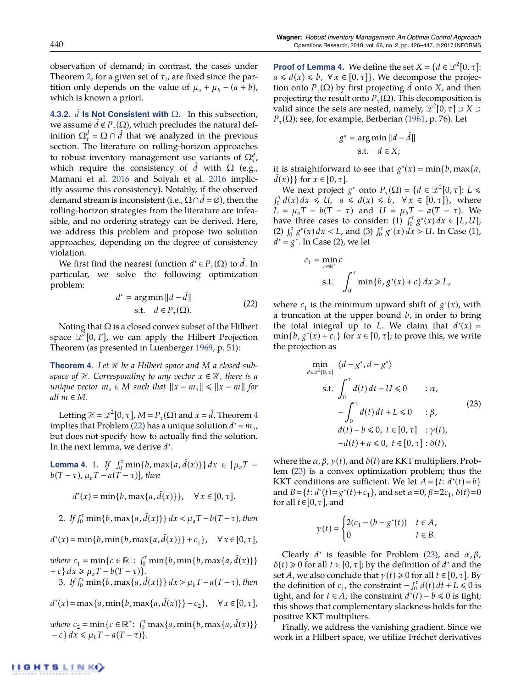observation of demand; in contrast, the cases under Theorem 2, for a given set of  $\tau_i$ , are fixed since the partition only depends on the value of  $\mu_a + \mu_b - (a + b)$ , which is known a priori.

**4.3.2.**  $d$  **Is Not Consistent with**  $\Omega$ . In this subsection, we assume  $d \notin P_{\tau}(\Omega)$ , which precludes the natural definition  $\Omega_{\tau}^{\hat{d}} = \Omega \cap \hat{d}$  that we analyzed in the previous section. The literature on rolling-horizon approaches to robust inventory management use variants of  $\Omega^d_{\tau}$ , which require the consistency of  $d$  with  $\Omega$  (e.g., Mamani et al. 2016 and Solyalı et al. 2016 implicitly assume this consistency). Notably, if the observed demand stream is inconsistent (i.e.,  $\Omega \cap \hat{d} = \emptyset$ ), then the rolling-horizon strategies from the literature are infeasible, and no ordering strategy can be derived. Here, we address this problem and propose two solution approaches, depending on the degree of consistency violation.

We first find the nearest function  $d^* \in P_\tau(\Omega)$  to  $\tilde{d}$ . In particular, we solve the following optimization problem:

$$
d^* = \underset{\text{s.t.}}{\arg \min} ||d - \hat{d}||
$$
\n
$$
\text{s.t.} \quad d \in P_{\tau}(\Omega). \tag{22}
$$

Noting that  $\Omega$  is a closed convex subset of the Hilbert space  $\mathscr{L}^2[0,T]$ , we can apply the Hilbert Projection Theorem (as presented in Luenberger 1969, p. 51):

**Theorem 4.** Let  $\mathcal{H}$  be a Hilbert space and M a closed sub*space of*  $H$ *. Corresponding to any vector*  $x \in H$ *, there is a unique vector*  $m_o \in M$  *such that*  $||x - m_o|| \le ||x - m||$  *for*  $all$   $m \in M$ *.* 

Letting  $\mathcal{H} = \mathcal{L}^2[0, \tau]$ ,  $M = P_\tau(\Omega)$  and  $x = \hat{d}$ , Theorem 4 implies that Problem (22) has a unique solution  $d^* = m_o$ , but does not specify how to actually find the solution. In the next lemma, we derive  $d^*$ .

**Lemma 4.** 1. *If*  $\int_0^{\tau} \min\{b, \max\{a, \hat{d}(x)\}\} dx \in [\mu_a T$  $b(T - \tau)$ ,  $\mu_b T - a(T - \tau)$ ], then

$$
d^*(x) = \min\{b, \max\{a, \hat{d}(x)\}\}, \quad \forall x \in [0, \tau].
$$

2. *If*  $\int_0^{\tau} \min\{b, \max\{a, \hat{d}(x)\}\} dx < \mu_a T - b(T - \tau)$ , then

 $d^{*}(x) = \min\{b, \min\{b, \max\{a, \hat{d}(x)\}\} + c_{1}\}, \quad \forall x \in [0, \tau],$ 

 $where \ c_1 = \min\{c \in \mathbb{R}^+ : \int_0^{\tau} \min\{b, \min\{b, \max\{a, \hat{d}(x)\}\}\}$  $+c$ }  $dx \geq \mu_a T - b(T - \tau)$ }.

3. *If*  $\int_0^{\tau} \min\{b, \max\{a, \hat{d}(x)\}\} dx > \mu_b T - a(T - \tau)$ , then

 $d^{*}(x) = \max\{a, \min\{b, \max\{a, \hat{d}(x)\}\} - c_{2}\}, \quad \forall x \in [0, \tau],$ 

 $where \ c_2 = \min\{c \in \mathbb{R}^+ : \int_0^{\tau} \max\{a, \min\{b, \max\{a, \hat{d}(x)\}\}\}$  $-c$  *dx*  $\leq \mu_b T - a(T - \tau)$ }.

**Proof of Lemma 4.** We define the set  $X = \{d \in \mathcal{L}^2[0, \tau]:\}$  $a \leq d(x) \leq b$ ,  $\forall x \in [0, \tau]$ . We decompose the projection onto  $P_{\tau}(\Omega)$  by first projecting  $d$  onto  $X$ , and then projecting the result onto  $P_{\tau}(\Omega)$ . This decomposition is valid since the sets are nested, namely,  $\mathcal{L}^2[0,\tau] \supset X \supset Y$  $P_{\tau}(\Omega)$ ; see, for example, Berberian (1961, p. 76). Let

$$
g^* = \underset{\text{s.t.}}{\arg \min} ||d - \hat{d}||
$$

it is straightforward to see that  $g^*(x) = \min\{b, \max\{a, \hat{d}(x)\}\}$  for  $x \in [0, \tau]$ .  $d(x)$ } for  $x \in [0, \tau]$ .

We next project  $g^*$  onto  $P_\tau(\Omega) = \{d \in \mathcal{L}^2[0, \tau]: L \leq$  $\int_0^{\tau} d(x) dx \leq U, \quad a \leq d(x) \leq b, \quad \forall x \in [0, \tau],$  where  $L = \mu_a T - b(T - \tau)$  and  $U = \mu_b T - a(T - \tau)$ . We have three cases to consider: (1)  $\int_0^x g^*(x) dx \in [L, U]$ , (2)  $\int_0^{\tau} g^*(x) dx < L$ , and (3)  $\int_0^{\tau} g^*(x) dx > U$ . In Case (1),  $d^* = g^*$ . In Case (2), we let

$$
c_1 = \min_{c \in \mathbb{R}^+} c
$$
  
s.t. 
$$
\int_0^{\tau} \min\{b, g^*(x) + c\} dx \ge L,
$$

where  $c_1$  is the minimum upward shift of  $g^*(x)$ , with a truncation at the upper bound *b*, in order to bring the total integral up to *L*. We claim that  $d^*(x) =$  $\min\{b, g^*(x) + c_1\}$  for  $x \in [0, \tau]$ ; to prove this, we write the projection as

$$
\min_{d \in \mathcal{L}^2[0,\tau]} \langle d - g^*, d - g^* \rangle
$$
\n
$$
\text{s.t.} \int_0^\tau d(t) \, dt - U \le 0 \qquad : \alpha,
$$
\n
$$
- \int_0^\tau d(t) \, dt + L \le 0 \qquad : \beta,
$$
\n
$$
d(t) - b \le 0, \ t \in [0,\tau] \quad : \gamma(t),
$$
\n
$$
-d(t) + a \le 0, \ t \in [0,\tau] : \delta(t),
$$
\n
$$
(23)
$$

where the  $\alpha$ ,  $\beta$ ,  $\gamma$ (*t*), and  $\delta$ (*t*) are KKT multipliers. Problem (23) is a convex optimization problem; thus the KKT conditions are sufficient. We let  $A = \{t: d^*(t) = b\}$ and  $B = \{t : d^*(t) = g^*(t) + c_1\}$ , and set  $\alpha = 0$ ,  $\beta = 2c_1$ ,  $\delta(t) = 0$ for all  $t \in [0, \tau]$ , and

$$
\gamma(t) = \begin{cases} 2(c_1 - (b - g^*(t))) & t \in A, \\ 0 & t \in B. \end{cases}
$$

Clearly  $d^*$  is feasible for Problem (23), and  $\alpha, \beta$ ,  $\delta(t) \geq 0$  for all  $t \in [0, \tau]$ ; by the definition of  $d^*$  and the set *A*, we also conclude that  $\gamma(t) \ge 0$  for all  $t \in [0, \tau]$ . By the definition of  $c_1$ , the constraint  $-\int_0^{\tau} d(t) dt + L \le 0$  is tight, and for  $t \in A$ , the constraint  $d^*(t) - b \le 0$  is tight; this shows that complementary slackness holds for the positive KKT multipliers.

Finally, we address the vanishing gradient. Since we work in a Hilbert space, we utilize Fréchet derivatives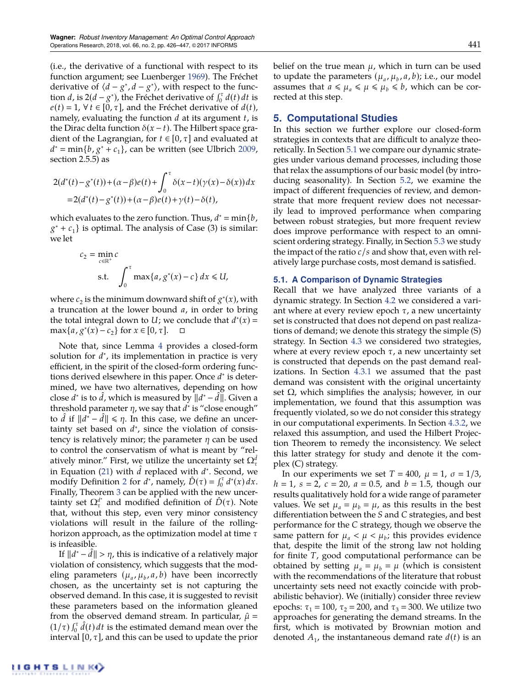(i.e., the derivative of a functional with respect to its function argument; see Luenberger 1969). The Fréchet derivative of  $\langle d - g^*, d - g^* \rangle$ , with respect to the function *d*, is  $2(d - g^*)$ , the Fréchet derivative of  $\int_0^{\tau} d(t) dt$  is  $e(t) = 1$ ,  $\forall t \in [0, \tau]$ , and the Fréchet derivative of  $d(t)$ , namely, evaluating the function *d* at its argument *t*, is the Dirac delta function  $\delta(x - t)$ . The Hilbert space gradient of the Lagrangian, for  $t \in [0, \tau]$  and evaluated at  $d^* = \min\{b, g^* + c_1\}$ , can be written (see Ulbrich 2009, section 2.5.5) as

$$
2(d^*(t) - g^*(t)) + (\alpha - \beta)e(t) + \int_0^{\tau} \delta(x - t)(\gamma(x) - \delta(x)) dx
$$
  
= 2(d^\*(t) - g^\*(t)) + (\alpha - \beta)e(t) + \gamma(t) - \delta(t),

which evaluates to the zero function. Thus,  $d^* = \min\{b, c\}$  $g^* + c_1$ } is optimal. The analysis of Case (3) is similar: we let

$$
c_2 = \min_{c \in \mathbb{R}^+} c
$$
  
s.t. 
$$
\int_0^{\tau} \max\{a, g^*(x) - c\} dx \le U,
$$

where  $c_2$  is the minimum downward shift of  $g^*(x)$ , with a truncation at the lower bound *a*, in order to bring the total integral down to *U*; we conclude that  $d^*(x) =$  $\max\{a, g^*(x) - c_2\}$  for  $x \in [0, \tau]$ .  $\Box$ 

Note that, since Lemma 4 provides a closed-form solution for  $d^*$ , its implementation in practice is very efficient, in the spirit of the closed-form ordering functions derived elsewhere in this paper. Once  $d^*$  is determined, we have two alternatives, depending on how close  $d^*$  is to  $\bar{d}$ , which is measured by  $||d^* - \bar{d}||$ . Given a threshold parameter  $\eta$ , we say that  $d^*$  is "close enough" to *d* if  $||d^* - d|| \le \eta$ . In this case, we define an uncertainty set based on  $d^*$ , since the violation of consistency is relatively minor; the parameter  $\eta$  can be used to control the conservatism of what is meant by "relatively minor." First, we utilize the uncertainty set  $\Omega^d_\tau$ in Equation (21) with  $d$  replaced with  $d^*$ . Second, we modify Definition 2 for  $d^*$ , namely,  $\hat{D}(\tau) = \int_0^{\tau} d^*(x) dx$ . Finally, Theorem 3 can be applied with the new uncertainty set  $\Omega_{\tau}^{d^*}$  and modified definition of  $\hat{D}(\tau)$ . Note that, without this step, even very minor consistency violations will result in the failure of the rollinghorizon approach, as the optimization model at time  $\tau$ is infeasible.

If  $||d^* - d|| > \eta$ , this is indicative of a relatively major violation of consistency, which suggests that the modeling parameters  $(\mu_a, \mu_b, a, b)$  have been incorrectly chosen, as the uncertainty set is not capturing the observed demand. In this case, it is suggested to revisit these parameters based on the information gleaned from the observed demand stream. In particular,  $\hat{\mu}$  =  $(1/\tau) \int_0^{\tau} \hat{d}(t) dt$  is the estimated demand mean over the interval  $[0, \tau]$ , and this can be used to update the prior belief on the true mean  $\mu$ , which in turn can be used to update the parameters  $(\mu_a, \mu_b, a, b)$ ; i.e., our model assumes that  $a \leq \mu_a \leq \mu \leq \mu_b \leq b$ , which can be corrected at this step.

# **5. Computational Studies**

In this section we further explore our closed-form strategies in contexts that are difficult to analyze theoretically. In Section 5.1 we compare our dynamic strategies under various demand processes, including those that relax the assumptions of our basic model (by introducing seasonality). In Section 5.2, we examine the impact of different frequencies of review, and demonstrate that more frequent review does not necessarily lead to improved performance when comparing between robust strategies, but more frequent review does improve performance with respect to an omniscient ordering strategy. Finally, in Section 5.3 we study the impact of the ratio  $c/s$  and show that, even with relatively large purchase costs, most demand is satisfied.

## **5.1. A Comparison of Dynamic Strategies**

Recall that we have analyzed three variants of a dynamic strategy. In Section 4.2 we considered a variant where at every review epoch  $\tau$ , a new uncertainty set is constructed that does not depend on past realizations of demand; we denote this strategy the simple (S) strategy. In Section 4.3 we considered two strategies, where at every review epoch  $\tau$ , a new uncertainty set is constructed that depends on the past demand realizations. In Section 4.3.1 we assumed that the past demand was consistent with the original uncertainty set  $\Omega$ , which simplifies the analysis; however, in our implementation, we found that this assumption was frequently violated, so we do not consider this strategy in our computational experiments. In Section 4.3.2, we relaxed this assumption, and used the Hilbert Projection Theorem to remedy the inconsistency. We select this latter strategy for study and denote it the complex (C) strategy.

In our experiments we set  $T = 400$ ,  $\mu = 1$ ,  $\sigma = 1/3$ ,  $h = 1$ ,  $s = 2$ ,  $c = 20$ ,  $a = 0.5$ , and  $b = 1.5$ , though our results qualitatively hold for a wide range of parameter values. We set  $\mu_a = \mu_b = \mu$ , as this results in the best differentiation between the *S* and *C* strategies, and best performance for the *C* strategy, though we observe the same pattern for  $\mu_a < \mu < \mu_b$ ; this provides evidence that, despite the limit of the strong law not holding for finite *T*, good computational performance can be obtained by setting  $\mu_a = \mu_b = \mu$  (which is consistent with the recommendations of the literature that robust uncertainty sets need not exactly coincide with probabilistic behavior). We (initially) consider three review epochs:  $\tau_1 = 100$ ,  $\tau_2 = 200$ , and  $\tau_3 = 300$ . We utilize two approaches for generating the demand streams. In the first, which is motivated by Brownian motion and denoted  $A_1$ , the instantaneous demand rate  $d(t)$  is an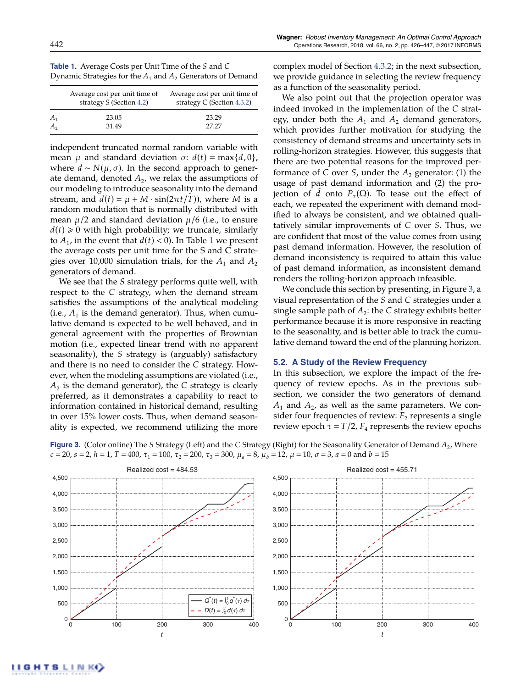| <b>Table 1.</b> Average Costs per Unit Time of the S and C      |  |
|-----------------------------------------------------------------|--|
| Dynamic Strategies for the $A_1$ and $A_2$ Generators of Demand |  |

|       | Average cost per unit time of<br>strategy S (Section 4.2) | Average cost per unit time of<br>strategy $C$ (Section 4.3.2) |  |  |
|-------|-----------------------------------------------------------|---------------------------------------------------------------|--|--|
| $A_1$ | 23.05<br>31.49                                            | 23.29<br>27.27                                                |  |  |

independent truncated normal random variable with mean  $\mu$  and standard deviation  $\sigma$ :  $d(t) = \max\{d, 0\}$ , where  $d \sim N(\mu, \sigma)$ . In the second approach to generate demand, denoted  $A<sub>2</sub>$ , we relax the assumptions of our modeling to introduce seasonality into the demand stream, and  $d(t) = \mu + M \cdot \sin(2\pi t/T)$ , where *M* is a random modulation that is normally distributed with mean  $\mu/2$  and standard deviation  $\mu/6$  (i.e., to ensure  $d(t) \geq 0$  with high probability; we truncate, similarly to  $A_1$ , in the event that  $d(t) < 0$ ). In Table 1 we present the average costs per unit time for the S and C strategies over 10,000 simulation trials, for the  $A_1$  and  $A_2$ generators of demand.

We see that the *S* strategy performs quite well, with respect to the *C* strategy, when the demand stream satisfies the assumptions of the analytical modeling (i.e.,  $A_1$  is the demand generator). Thus, when cumulative demand is expected to be well behaved, and in general agreement with the properties of Brownian motion (i.e., expected linear trend with no apparent seasonality), the *S* strategy is (arguably) satisfactory and there is no need to consider the *C* strategy. However, when the modeling assumptions are violated (i.e.,  $A_2$  is the demand generator), the *C* strategy is clearly preferred, as it demonstrates a capability to react to information contained in historical demand, resulting in over 15% lower costs. Thus, when demand seasonality is expected, we recommend utilizing the more complex model of Section 4.3.2; in the next subsection, we provide guidance in selecting the review frequency as a function of the seasonality period.

We also point out that the projection operator was indeed invoked in the implementation of the *C* strategy, under both the  $A_1$  and  $A_2$  demand generators, which provides further motivation for studying the consistency of demand streams and uncertainty sets in rolling-horizon strategies. However, this suggests that there are two potential reasons for the improved performance of *C* over *S*, under the  $A_2$  generator: (1) the usage of past demand information and (2) the projection of *d* onto  $P_{\tau}(\Omega)$ . To tease out the effect of each, we repeated the experiment with demand modified to always be consistent, and we obtained qualitatively similar improvements of *C* over *S*. Thus, we are confident that most of the value comes from using past demand information. However, the resolution of demand inconsistency is required to attain this value of past demand information, as inconsistent demand renders the rolling-horizon approach infeasible.

We conclude this section by presenting, in Figure 3, a visual representation of the *S* and *C* strategies under a single sample path of  $A_2$ : the *C* strategy exhibits better performance because it is more responsive in reacting to the seasonality, and is better able to track the cumulative demand toward the end of the planning horizon.

## **5.2. A Study of the Review Frequency**

In this subsection, we explore the impact of the frequency of review epochs. As in the previous subsection, we consider the two generators of demand  $A_1$  and  $A_2$ , as well as the same parameters. We consider four frequencies of review:  $F<sub>2</sub>$  represents a single review epoch  $\tau = T/2$ ,  $F_4$  represents the review epochs





**GHTSLINKO**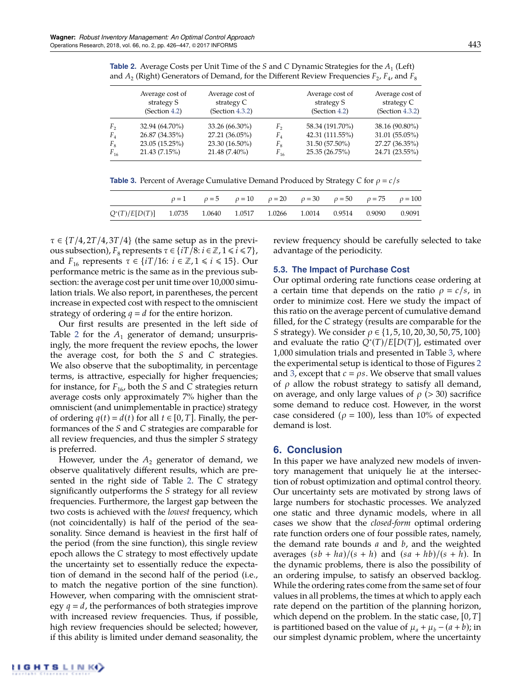| <b>Table 2.</b> Average Costs per Unit Time of the S and C Dynamic Strategies for the $A_1$ (Left)     |  |  |  |
|--------------------------------------------------------------------------------------------------------|--|--|--|
| and $A_2$ (Right) Generators of Demand, for the Different Review Frequencies $F_2$ , $F_4$ , and $F_8$ |  |  |  |

|             | Average cost of | Average cost of |          | Average cost of | Average cost of |
|-------------|-----------------|-----------------|----------|-----------------|-----------------|
|             | strategy S      | strategy C      |          | strategy S      | strategy C      |
|             | (Section 4.2)   | (Section 4.3.2) |          | (Section 4.2)   | (Section 4.3.2) |
| F,          | 32.94 (64.70%)  | 33.26 (66.30%)  | F,       | 58.34 (191.70%) | 38.16 (90.80%)  |
| $F_{4}$     | 26.87 (34.35%)  | 27.21 (36.05%)  | $F_{4}$  | 42.31 (111.55%) | 31.01 (55.05%)  |
| $F_{\rm g}$ | 23.05 (15.25%)  | 23.30 (16.50%)  | $F_{8}$  | 31.50 (57.50%)  | 27.27 (36.35%)  |
| $F_{16}$    | 21.43(7.15%)    | 21.48 (7.40%)   | $F_{16}$ | 25.35 (26.75%)  | 24.71 (23.55%)  |

**Table 3.** Percent of Average Cumulative Demand Produced by Strategy *C* for  $\rho = c/s$ 

|                                                                          |  |  | $\rho = 1$ $\rho = 5$ $\rho = 10$ $\rho = 20$ $\rho = 30$ $\rho = 50$ $\rho = 75$ $\rho = 100$ |  |
|--------------------------------------------------------------------------|--|--|------------------------------------------------------------------------------------------------|--|
| $Q^*(T)/E[D(T)]$ 1.0735 1.0640 1.0517 1.0266 1.0014 0.9514 0.9090 0.9091 |  |  |                                                                                                |  |

 $\tau \in \{T/4, 2T/4, 3T/4\}$  (the same setup as in the previous subsection),  $F_8$  represents  $\tau \in \{iT/8 : i \in \mathbb{Z}, 1 \le i \le 7\}$ , and  $F_{16}$  represents  $\tau \in \{iT/16: i \in \mathbb{Z}, 1 \le i \le 15\}$ . Our performance metric is the same as in the previous subsection: the average cost per unit time over 10,000 simulation trials. We also report, in parentheses, the percent increase in expected cost with respect to the omniscient strategy of ordering  $q = d$  for the entire horizon.

Our first results are presented in the left side of Table 2 for the  $A_1$  generator of demand; unsurprisingly, the more frequent the review epochs, the lower the average cost, for both the *S* and *C* strategies. We also observe that the suboptimality, in percentage terms, is attractive, especially for higher frequencies; for instance, for  $F_{16}$ , both the *S* and *C* strategies return average costs only approximately 7% higher than the omniscient (and unimplementable in practice) strategy of ordering  $q(t) = d(t)$  for all  $t \in [0, T]$ . Finally, the performances of the *S* and *C* strategies are comparable for all review frequencies, and thus the simpler *S* strategy is preferred.

However, under the  $A_2$  generator of demand, we observe qualitatively different results, which are presented in the right side of Table 2. The *C* strategy significantly outperforms the *S* strategy for all review frequencies. Furthermore, the largest gap between the two costs is achieved with the *lowest* frequency, which (not coincidentally) is half of the period of the seasonality. Since demand is heaviest in the first half of the period (from the sine function), this single review epoch allows the *C* strategy to most effectively update the uncertainty set to essentially reduce the expectation of demand in the second half of the period (i.e., to match the negative portion of the sine function). However, when comparing with the omniscient strategy  $q = d$ , the performances of both strategies improve with increased review frequencies. Thus, if possible, high review frequencies should be selected; however, if this ability is limited under demand seasonality, the review frequency should be carefully selected to take advantage of the periodicity.

# **5.3. The Impact of Purchase Cost**

Our optimal ordering rate functions cease ordering at a certain time that depends on the ratio  $\rho = c/s$ , in order to minimize cost. Here we study the impact of this ratio on the average percent of cumulative demand filled, for the *C* strategy (results are comparable for the *S* strategy). We consider  $\rho \in \{1, 5, 10, 20, 30, 50, 75, 100\}$ and evaluate the ratio  $Q^*(T)/E[D(T)]$ , estimated over 1,000 simulation trials and presented in Table 3, where the experimental setup is identical to those of Figures 2 and 3, except that  $c = \rho s$ . We observe that small values of  $\rho$  allow the robust strategy to satisfy all demand, on average, and only large values of  $\rho$  (> 30) sacrifice some demand to reduce cost. However, in the worst case considered ( $\rho = 100$ ), less than 10% of expected demand is lost.

# **6. Conclusion**

In this paper we have analyzed new models of inventory management that uniquely lie at the intersection of robust optimization and optimal control theory. Our uncertainty sets are motivated by strong laws of large numbers for stochastic processes. We analyzed one static and three dynamic models, where in all cases we show that the *closed-form* optimal ordering rate function orders one of four possible rates, namely, the demand rate bounds *a* and *b*, and the weighted averages  $(sb + ha)/(s + h)$  and  $(sa + hb)/(s + h)$ . In the dynamic problems, there is also the possibility of an ordering impulse, to satisfy an observed backlog. While the ordering rates come from the same set of four values in all problems, the times at which to apply each rate depend on the partition of the planning horizon, which depend on the problem. In the static case, [0, *T*] is partitioned based on the value of  $\mu_a + \mu_b - (a + b)$ ; in our simplest dynamic problem, where the uncertainty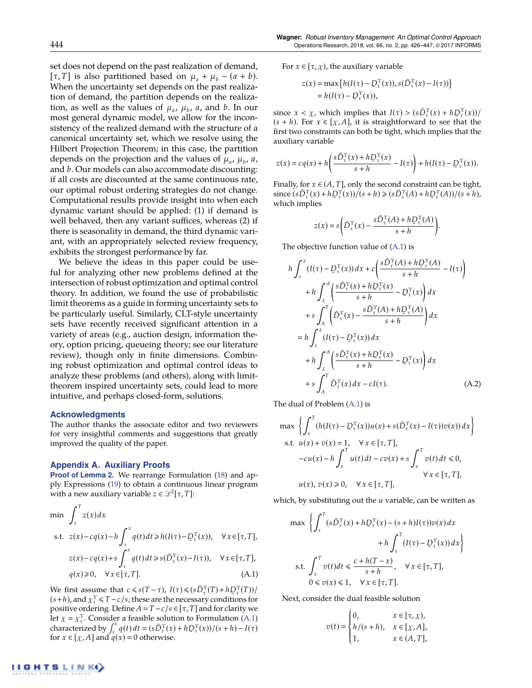set does not depend on the past realization of demand,  $[\tau, T]$  is also partitioned based on  $\mu_a + \mu_b - (a + b)$ . When the uncertainty set depends on the past realization of demand, the partition depends on the realization, as well as the values of  $\mu_a$ ,  $\mu_b$ ,  $\alpha$ , and  $b$ . In our most general dynamic model, we allow for the inconsistency of the realized demand with the structure of a canonical uncertainty set, which we resolve using the Hilbert Projection Theorem; in this case, the partition depends on the projection and the values of  $\mu_a$ ,  $\mu_b$ ,  $\alpha$ , and *b*. Our models can also accommodate discounting: if all costs are discounted at the same continuous rate, our optimal robust ordering strategies do not change. Computational results provide insight into when each dynamic variant should be applied: (1) if demand is well behaved, then any variant suffices, whereas (2) if there is seasonality in demand, the third dynamic variant, with an appropriately selected review frequency, exhibits the strongest performance by far.

We believe the ideas in this paper could be useful for analyzing other new problems defined at the intersection of robust optimization and optimal control theory. In addition, we found the use of probabilistic limit theorems as a guide in forming uncertainty sets to be particularly useful. Similarly, CLT-style uncertainty sets have recently received significant attention in a variety of areas (e.g., auction design, information theory, option pricing, queueing theory; see our literature review), though only in finite dimensions. Combining robust optimization and optimal control ideas to analyze these problems (and others), along with limittheorem inspired uncertainty sets, could lead to more intuitive, and perhaps closed-form, solutions.

#### **Acknowledgments**

The author thanks the associate editor and two reviewers for very insightful comments and suggestions that greatly improved the quality of the paper.

#### **Appendix A. Auxiliary Proofs**

**Proof of Lemma 2.** We rearrange Formulation (18) and apply Expressions (19) to obtain a continuous linear program with a new auxiliary variable  $z \in \mathcal{L}^2[\tau, T]$ :

$$
\min \int_{\tau}^{T} z(x) dx
$$
\n
$$
\text{s.t. } z(x) - c q(x) - h \int_{\tau}^{x} q(t) dt \ge h(I(\tau) - D_{\tau}^{\Upsilon}(x)), \quad \forall x \in [\tau, T],
$$
\n
$$
z(x) - c q(x) + s \int_{\tau}^{x} q(t) dt \ge s(\bar{D}_{\tau}^{\Upsilon}(x) - I(\tau)), \quad \forall x \in [\tau, T],
$$
\n
$$
q(x) \ge 0, \quad \forall x \in [\tau, T]. \tag{A.1}
$$

We first assume that  $c \leq s(T - \tau)$ ,  $I(\tau) \leq (s\overline{D}_{\tau}^{\Upsilon}(T) + h\overline{D}_{\tau}^{\Upsilon}(T))/$  $(s+h)$ , and  $\chi^{\Upsilon}_{\tau} \leq T-c/s$ ; these are the necessary conditions for positive ordering. Define  $A = T - c/s \in [\tau, T]$  and for clarity we Let  $\chi = \chi^{\Upsilon}$ . Consider a feasible solution to Formulation (A.1)  $\int_{0}^{\infty} q(t) dt = (s\overline{D}_{\tau}^{\Upsilon}(x) + h\overline{D}_{\tau}^{\Upsilon}(x))/(s+h) - I(\tau)$ <br>
for  $x \in [x, 4]$  and  $a(x) = 0$  otherwise. for  $x \in [\chi, A]$  and  $q(x) = 0$  otherwise.

For  $x \in [\tau, \chi)$ , the auxiliary variable

$$
z(x) = \max\left\{h(I(\tau) - D_{\tau}^{\Upsilon}(x)), s(\bar{D}_{\tau}^{\Upsilon}(x) - I(\tau))\right\}
$$
  
=  $h(I(\tau) - D_{\tau}^{\Upsilon}(x)),$ 

since  $x < \chi$ , which implies that  $I(\tau) > (s\bar{D}_{\tau}^{\Upsilon}(x) + h\bar{D}_{\tau}^{\Upsilon}(x))/(s+h)$ . For  $x \in [x, 4]$ , it is straightforward to see that the  $(s + h)$ . For  $x \in [\chi, A]$ , it is straightforward to see that the first two constraints can both be tight, which implies that the auxiliary variable

$$
z(x) = cq(x) + h\left(\frac{s\overline{D}_{\tau}^{\Upsilon}(x) + h\overline{D}_{\tau}^{\Upsilon}(x)}{s+h} - I(\tau)\right) + h(I(\tau) - \overline{D}_{\tau}^{\Upsilon}(x)).
$$

Finally, for  $x \in (A, T]$ , only the second constraint can be tight,  $\sinh(e \left( s \overline{D}_{\tau}^{\Upsilon}(x) + h \underline{D}_{\tau}^{\Upsilon}(x) \right) / (s + h) \geq (s \overline{D}_{\tau}^{\Upsilon}(A) + h \underline{D}_{\tau}^{\Upsilon}(A) / (s + h),$ which implies

$$
z(x) = s \left( \bar{D}_{\tau}^{\Upsilon}(x) - \frac{s \bar{D}_{\tau}^{\Upsilon}(A) + h \bar{D}_{\tau}^{\Upsilon}(A)}{s + h} \right).
$$

The objective function value of (A.1) is

$$
h \int_{\tau}^{x} (I(\tau) - D_{\tau}^{\Upsilon}(x)) dx + c \left( \frac{s \bar{D}_{\tau}^{\Upsilon}(A) + h D_{\tau}^{\Upsilon}(A)}{s + h} - I(\tau) \right)
$$
  
+ 
$$
h \int_{\chi}^{A} \left( \frac{s \bar{D}_{\tau}^{\Upsilon}(x) + h D_{\tau}^{\Upsilon}(x)}{s + h} - D_{\tau}^{\Upsilon}(x) \right) dx
$$
  
+ 
$$
s \int_{A}^{T} \left( \bar{D}_{\tau}^{\Upsilon}(x) - \frac{s \bar{D}_{\tau}^{\Upsilon}(A) + h D_{\tau}^{\Upsilon}(A)}{s + h} \right) dx
$$
  
= 
$$
h \int_{\tau}^{x} (I(\tau) - D_{\tau}^{\Upsilon}(x)) dx
$$
  
+ 
$$
h \int_{\chi}^{A} \left( \frac{s \bar{D}_{\tau}^{\Upsilon}(x) + h D_{\tau}^{\Upsilon}(x)}{s + h} - D_{\tau}^{\Upsilon}(x) \right) dx
$$
  
+ 
$$
s \int_{A}^{T} \bar{D}_{\tau}^{\Upsilon}(x) dx - cI(\tau).
$$
 (A.2)

The dual of Problem (A.1) is

$$
\max \left\{ \int_{\tau}^{T} (h(I(\tau) - \underline{D}_{\tau}^{\Upsilon}(x))u(x) + s(\overline{D}_{\tau}^{\Upsilon}(x) - I(\tau))v(x)) dx \right\}
$$
  
s.t.  $u(x) + v(x) = 1$ ,  $\forall x \in [\tau, T]$ ,  
 $-cu(x) - h \int_{x}^{T} u(t) dt - cv(x) + s \int_{x}^{T} v(t) dt \le 0$ ,  
 $\forall x \in [\tau, T]$ ,  
 $u(x), v(x) \ge 0$ ,  $\forall x \in [\tau, T]$ ,

which, by substituting out the *u* variable, can be written as

$$
\max \left\{ \int_{\tau}^{T} (s \bar{D}_{\tau}^{\Upsilon}(x) + h \bar{D}_{\tau}^{\Upsilon}(x) - (s + h)I(\tau)) v(x) dx + h \int_{\tau}^{T} (I(\tau) - \bar{D}_{\tau}^{\Upsilon}(x)) dx \right\}
$$
  
s.t. 
$$
\int_{x}^{T} v(t) dt \le \frac{c + h(T - x)}{s + h}, \quad \forall x \in [\tau, T],
$$

$$
0 \le v(x) \le 1, \quad \forall x \in [\tau, T].
$$

Next, consider the dual feasible solution

$$
v(t) = \begin{cases} 0, & x \in [\tau, \chi), \\ h/(s+h), & x \in [\chi, A], \\ 1, & x \in (A, T], \end{cases}
$$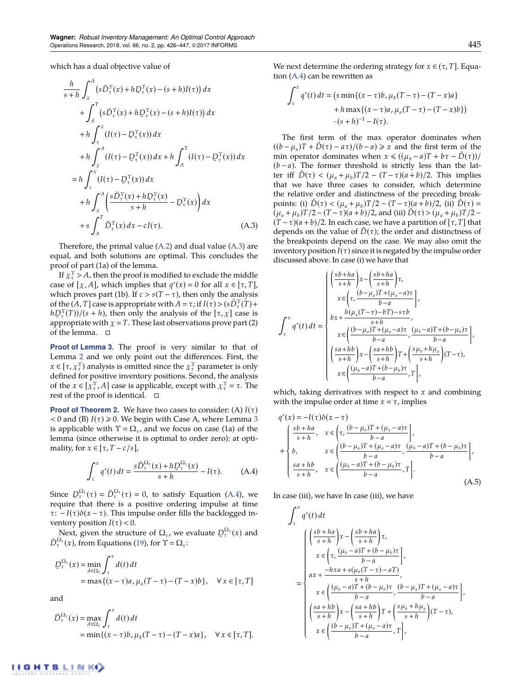which has a dual objective value of

$$
\frac{h}{s+h} \int_{x}^{A} (s\overline{D}_{\tau}^{\Upsilon}(x) + h\overline{D}_{\tau}^{\Upsilon}(x) - (s+h)I(\tau)) dx
$$
  
+ 
$$
\int_{A}^{T} (s\overline{D}_{\tau}^{\Upsilon}(x) + h\overline{D}_{\tau}^{\Upsilon}(x) - (s+h)I(\tau)) dx
$$
  
+ 
$$
h \int_{\tau}^{X} (I(\tau) - \overline{D}_{\tau}^{\Upsilon}(x)) dx
$$
  
+ 
$$
h \int_{\chi}^{A} (I(\tau) - \overline{D}_{\tau}^{\Upsilon}(x)) dx + h \int_{A}^{T} (I(\tau) - \overline{D}_{\tau}^{\Upsilon}(x)) dx
$$
  
= 
$$
h \int_{\tau}^{X} (I(\tau) - \overline{D}_{\tau}^{\Upsilon}(x)) dx
$$
  
+ 
$$
h \int_{\chi}^{A} \left( \frac{s\overline{D}_{\tau}^{\Upsilon}(x) + h\overline{D}_{\tau}^{\Upsilon}(x)}{s+h} - \overline{D}_{\tau}^{\Upsilon}(x) \right) dx
$$
  
+ 
$$
s \int_{A}^{T} \overline{D}_{\tau}^{\Upsilon}(x) dx - cI(\tau).
$$
 (A.3)

Therefore, the primal value (A.2) and dual value (A.3) are equal, and both solutions are optimal. This concludes the proof of part (1a) of the lemma.

If  $\chi^{\Upsilon}$  > *A*, then the proof is modified to exclude the middle case of  $[\chi, A]$ , which implies that  $q^*(x) = 0$  for all  $x \in [\tau, T]$ , which proves part (1b). If  $c > s(T - \tau)$ , then only the analysis of the  $(A, T]$  case is appropriate with  $A = \tau$ ; if  $I(\tau) > (sD^{\Upsilon}_{\tau}(T) +$  $hD_{\tau}^{\gamma}(T)/(s+h)$ , then only the analysis of the  $[\tau, \chi]$  case is<br>appropriate with  $\chi = T$ . These last experiments prove part (2) appropriate with  $\chi = T$ . These last observations prove part (2) of the lemma.  $\square$ 

**Proof of Lemma 3.** The proof is very similar to that of Lemma 2 and we only point out the differences. First, the  $x \in [\tau, \chi_{\tau}^{\Upsilon}]$  analysis is omitted since the  $\chi_{\tau}^{\Upsilon}$  parameter is only defined for positive inventory positions. Second, the analysis of the  $x \in [\bar{\chi}^{\Upsilon}_{\tau}, A]$  case is applicable, except with  $\chi^{\Upsilon}_{\tau} = \tau$ . The rest of the proof is identical.  $\quad \Box$ 

**Proof of Theorem 2.** We have two cases to consider: (A)  $I(\tau)$  $<$  0 and (B) *I*( $\tau$ )  $\ge$  0. We begin with Case A, where Lemma 3 is applicable with  $\Upsilon = \Omega_{\tau}$ , and we focus on case (1a) of the lemma (since otherwise it is optimal to order zero): at optimality, for  $x \in [\tau, T - c/s]$ ,

$$
\int_{\tau}^{x} q^*(t) dt = \frac{s \bar{D}_{\tau}^{\Omega_{\tau}}(x) + h \bar{D}_{\tau}^{\Omega_{\tau}}(x)}{s + h} - I(\tau). \tag{A.4}
$$

Since  $\overline{D}_{\tau}^{\Omega_{\tau}}(\tau) = \overline{D}_{\tau}^{\Omega_{\tau}}(\tau) = 0$ , to satisfy Equation (A.4), we require that there is a positive ordering impulse at time require that there is a positive ordering impulse at time  $\tau$ :  $-I(\tau)\delta(x-\tau)$ . This impulse order fills the backlogged inventory position  $I(\tau) < 0$ .

Next, given the structure of  $\Omega_{\tau}$ , we evaluate  $\overline{D}_{\tau}^{\Omega_{\tau}}(x)$  and  $P_{\tau}^{\chi}(x)$  from Equations (10) for  $\Upsilon = \Omega$ .  $\bar{D}_{\tau}^{\Omega_{\tau}}(x)$ , from Equations (19), for  $\Upsilon = \Omega_{\tau}$ :

$$
D_{\tau}^{\Omega_{\tau}}(x) = \min_{d \in \Omega_{\tau}} \int_{\tau}^{x} d(t) dt
$$
  
=  $\max\{(x - \tau)a, \mu_{a}(T - \tau) - (T - x)b\}, \quad \forall x \in [\tau, T]$ 

and

$$
\bar{D}_{\tau}^{\Omega_{\tau}}(x) = \max_{d \in \Omega_{\tau}} \int_{\tau}^{x} d(t) dt
$$
  
= min{ (x - \tau)b,  $\mu_b(T - \tau) - (T - x)a$ },  $\forall x \in [\tau, T].$ 

We next determine the ordering strategy for  $x \in (\tau, T]$ . Equation (A.4) can be rewritten as

$$
\int_{\tau}^{x} q^*(t) dt = \left(s \min\{(x - \tau)b, \mu_b(T - \tau) - (T - x)a\} + h \max\{(x - \tau)a, \mu_a(T - \tau) - (T - x)b\}\right) + (s + h)^{-1} - I(\tau).
$$

The first term of the max operator dominates when  $((b - \mu_a)T + \hat{D}(\tau) - a\tau)/(b - a) \geq x$  and the first term of the min operator dominates when  $x \leq (\mu_b - a)T + b\tau - \hat{D}(\tau)$  $(b-a)$ . The former threshold is strictly less than the latter iff  $\ddot{D}(\tau) < (\mu_a + \mu_b)T/2 - (T - \tau)(a + b)/2$ . This implies that we have three cases to consider, which determine the relative order and distinctness of the preceding breakpoints: (i)  $D(\tau) < (\mu_a + \mu_b)T/2 - (T - \tau)(a + b)/2$ , (ii)  $D(\tau) =$  $(\mu_a + \mu_b)T/2 - (T - \tau)(a + b)/2$ , and (iii)  $\hat{D}(\tau) > (\mu_a + \mu_b)T/2 (T - \tau)(a + b)/2$ . In each case, we have a partition of  $[\tau, T]$  that depends on the value of  $\tilde{D}(\tau)$ ; the order and distinctness of the breakpoints depend on the case. We may also omit the inventory position  $I(\tau)$  since it is negated by the impulse order discussed above. In case (i) we have that

$$
\int_{\tau}^{x} q^{*}(t) dt = \begin{cases}\n\left(\frac{s b + ha}{s+h}\right) x - \left(\frac{s b + ha}{s+h}\right) \tau, \\
x \in \left(\tau, \frac{(b - \mu_{a}) T + (\mu_{a} - a) \tau}{b - a}\right), \\
bx + \frac{h(\mu_{a} (T - \tau) - b T) - s \tau b}{s + h}, \\
x \in \left(\frac{(b - \mu_{a}) T + (\mu_{a} - a) \tau}{b - a}, \frac{(\mu_{b} - a) T + (b - \mu_{b}) \tau}{b - a}\right), \\
\left(\frac{s a + hb}{s + h}\right) x - \left(\frac{s a + hb}{s + h}\right) T + \left(\frac{s \mu_{b} + h \mu_{a}}{s + h}\right) (T - \tau), \\
x \in \left(\frac{(\mu_{b} - a) T + (b - \mu_{b}) \tau}{b - a}, T\right),\n\end{cases}
$$

which, taking derivatives with respect to *x* and combining with the impulse order at time  $x = \tau$ , implies

$$
q^*(x) = -I(\tau)\delta(x - \tau)
$$
  
+
$$
\begin{cases} \frac{sb + ha}{s + h}, & x \in \left(\tau, \frac{(b - \mu_a)T + (\mu_a - a)\tau}{b - a}\right], \\ b, & x \in \left(\frac{(b - \mu_a)T + (\mu_a - a)\tau}{b - a}, \frac{(\mu_b - a)T + (b - \mu_b)\tau}{b - a}\right], \\ \frac{sa + hb}{s + h}, & x \in \left(\frac{(\mu_b - a)T + (b - \mu_b)\tau}{b - a}, T\right]. \end{cases}
$$
(A.5)

In case (iii), we have In case (iii), we have

$$
\int_{\tau}^{x} q^{*}(t) dt
$$
\n
$$
\int_{\tau}^{x} q^{*}(t) dt
$$
\n
$$
x \in \left(\tau, \frac{(\mu_b - a)T + (b - \mu_b)\tau}{b - a}\right],
$$
\n
$$
x \in \left(\tau, \frac{(\mu_b - a)T + (b - \mu_b)\tau}{b - a}\right],
$$
\n
$$
ax + \frac{-h\tau a + s(\mu_b(T - \tau) - aT)}{s + h},
$$
\n
$$
x \in \left(\frac{(\mu_b - a)T + (b - \mu_b)\tau}{b - a}, \frac{(b - \mu_a)T + (\mu_a - a)\tau}{b - a}\right],
$$
\n
$$
\left(\frac{sa + hb}{s + h}\right)x - \left(\frac{sa + hb}{s + h}\right)T + \left(\frac{s\mu_b + h\mu_a}{s + h}\right)(T - \tau),
$$
\n
$$
x \in \left(\frac{(b - \mu_a)T + (\mu_a - a)\tau}{b - a}, T\right],
$$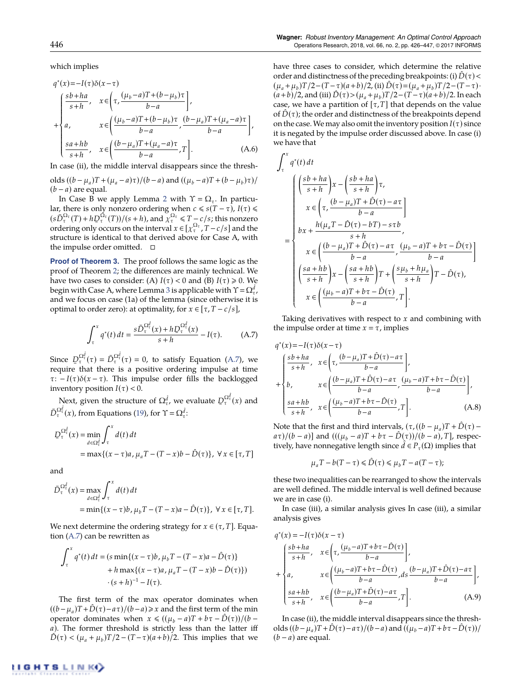which implies

$$
q^*(x) = -I(\tau)\delta(x-\tau)
$$
  
\n
$$
+ \begin{cases}\n\frac{sb+ha}{s+h}, & x \in (\tau, \frac{(\mu_b-a)T+(b-\mu_b)\tau}{b-a}) \\
a, & x \in (\frac{(\mu_b-a)T+(b-\mu_b)\tau}{b-a}, \frac{(b-\mu_a)T+(\mu_a-a)\tau}{b-a}) \\
\frac{sa+hb}{s+h}, & x \in (\frac{(b-\mu_a)T+(\mu_a-a)\tau}{b-a}, T].\n\end{cases}
$$
\n(A.6)

In case (ii), the middle interval disappears since the thresh-

olds  $((b - \mu_a)T + (\mu_a - a)\tau)/(b - a)$  and  $((\mu_b - a)T + (b - \mu_b)\tau)/$  $(b - a)$  are equal.

In Case B we apply Lemma 2 with  $\Upsilon = \Omega_{\tau}$ . In particular, there is only nonzero ordering when  $c \le s(T - \tau)$ ,  $I(\tau) \le$  $(s\bar{D}_{\tau}^{\Omega_{\tau}}(T) + h\bar{D}_{\tau}^{\Omega_{\tau}}(T))/(s+h)$ , and  $\bar{\chi}_{\tau}^{\Omega_{\tau}} \leq T - c/s$ ; this nonzero ordering only occurs on the interval  $x \in [x^{\Omega_{\tau}}]$ ,  $T - c/c$  and the ordering only occurs on the interval  $x \in [\chi_{\tau}^{\Omega_{\tau}}, T - c/s]$  and the structure is identical to that derived above for Case A, with the impulse order omitted.  $\square$ 

**Proof of Theorem 3.** The proof follows the same logic as the proof of Theorem 2; the differences are mainly technical. We have two cases to consider: (A)  $I(\tau) < 0$  and (B)  $I(\tau) \ge 0$ . We begin with Case A, where Lemma 3 is applicable with  $\Upsilon$  =  $\Omega^{ \hat{d} }_{\tau}$  , and we focus on case (1a) of the lemma (since otherwise it is optimal to order zero): at optimality, for  $x \in [\tau, T - c/s]$ ,

$$
\int_{\tau}^{x} q^*(t) dt = \frac{s \bar{D}_{\tau}^{\Omega_{\tau}^d}(x) + h \bar{D}_{\tau}^{\Omega_{\tau}^d}(x)}{s + h} - I(\tau). \tag{A.7}
$$

Since  $D_{\tau}^{\Omega_{\tau}^{d}}(\tau) = \bar{D}_{\tau}^{\Omega_{\tau}^{d}}(\tau) = 0$ , to satisfy Equation (A.7), we require that there is a positive ordering impulse at time require that there is a positive ordering impulse at time  $\tau$ :  $-I(\tau)\delta(x-\tau)$ . This impulse order fills the backlogged inventory position  $I(\tau) < 0$ .

Next, given the structure of  $\Omega_{\tau}^{\hat{d}}$ , we evaluate  $D_{\tau}^{\Omega_{\tau}^{\hat{d}}} (x)$  and  $\bar{D}_{\tau}^{\Omega_{\tau}^{d}}(x)$ , from Equations (19), for  $\Upsilon = \Omega_{\tau}^{\hat{d}}$ .

$$
D_{\tau}^{\Omega_{\tau}^{\hat{d}}}(x) = \min_{d \in \Omega_{\tau}^{\hat{d}}} \int_{\tau}^{x} d(t) dt
$$
  
= 
$$
\max\{(x - \tau)a, \mu_a T - (T - x)b - \hat{D}(\tau)\}, \forall x \in [\tau, T]
$$

and

$$
\bar{D}_{\tau}^{\Omega_{\tau}^{d}}(x) = \max_{d \in \Omega_{\tau}^{d}} \int_{\tau}^{x} d(t) dt
$$
\n
$$
= \min\{(x - \tau)b, \mu_{b}T - (T - x)a - \hat{D}(\tau)\}, \ \forall \ x \in [\tau, T].
$$

We next determine the ordering strategy for  $x \in (\tau, T]$ . Equation (A.7) can be rewritten as

$$
\int_{\tau}^{x} q^*(t) dt = (s \min\{(x - \tau)b, \mu_b T - (T - x)a - \hat{D}(\tau)\} + h \max\{(x - \tau)a, \mu_a T - (T - x)b - \hat{D}(\tau)\})
$$

$$
\cdot (s + h)^{-1} - I(\tau).
$$

The first term of the max operator dominates when  $((b - \mu_a)T + \tilde{D}(\tau) - a\tau)/(b - a) \geq x$  and the first term of the min operator dominates when  $x \le ((\mu_b - a)T + b\tau - \tilde{D}(\tau))/(b - a)T$ *a*). The former threshold is strictly less than the latter iff  $D(\tau) < (\mu_a + \mu_b)T/2 - (T - \tau)(a + b)/2$ . This implies that we have three cases to consider, which determine the relative order and distinctness of the preceding breakpoints: (i)  $\hat{D}(\tau)$  <  $(\mu_a + \mu_b)T/2 - (T - \tau)(a + b)/2$ , (ii)  $\hat{D}(\tau) = (\mu_a + \mu_b)T/2 - (T - \tau)$ .  $(a + b)/2$ , and (iii)  $\hat{D}(\tau) > (\mu_a + \mu_b)T/2 - (T - \tau)(a + b)/2$ . In each case, we have a partition of  $[\tau, T]$  that depends on the value of  $\hat{D}(\tau)$ ; the order and distinctness of the breakpoints depend on the case. We may also omit the inventory position  $I(\tau)$  since it is negated by the impulse order discussed above. In case (i) we have that

J

$$
\int_{\tau}^{x} q^{*}(t) dt
$$
\n
$$
\int_{\tau}^{x} q^{*}(t) dt
$$
\n
$$
x \in \left(\tau, \frac{(b - \mu_{a})T + \hat{D}(\tau) - a\tau}{b - a}\right]
$$
\n
$$
= \begin{cases}\n bx + \frac{h(\mu_{a}T - \hat{D}(\tau) - bT) - s\tau b}{b - a}, \\
 bx + \frac{h(\mu_{a}T - \hat{D}(\tau) - bT) - s\tau b}{s + h}, \\
 x \in \left(\frac{(b - \mu_{a})T + \hat{D}(\tau) - a\tau}{b - a}, \frac{(\mu_{b} - a)T + b\tau - \hat{D}(\tau)}{b - a}\right] \\
 \left(\frac{sa + hb}{s + h}\right)x - \left(\frac{sa + hb}{s + h}\right)T + \left(\frac{s\mu_{b} + h\mu_{a}}{s + h}\right)T - \hat{D}(\tau), \\
 x \in \left(\frac{(\mu_{b} - a)T + b\tau - \hat{D}(\tau)}{b - a}, T\right].\n\end{cases}
$$

Taking derivatives with respect to *x* and combining with the impulse order at time  $x = \tau$ , implies

$$
q^*(x) = -I(\tau)\delta(x-\tau)
$$
  
\n
$$
+ \begin{cases} \frac{sb+ha}{s+h}, & x \in \left(\tau, \frac{(b-\mu_a)T+\hat{D}(\tau)-a\tau}{b-a}\right], \\ b, & x \in \left(\frac{(b-\mu_a)T+\hat{D}(\tau)-a\tau}{b-a}, \frac{(\mu_b-a)T+b\tau-\hat{D}(\tau)}{b-a}\right], \\ \frac{sa+hb}{s+h}, & x \in \left(\frac{(\mu_b-a)T+b\tau-\hat{D}(\tau)}{b-a}, T\right]. \end{cases}
$$
(A.8)

Note that the first and third intervals,  $(\tau, ((b - \mu_a)T + \hat{D}(\tau)$  $a\tau$ )/(*b* – *a*)] and ((( $(\mu_b - a)T + b\tau - \hat{D}(\tau)$ )/(*b* – *a*), *T*], respectively, have nonnegative length since  $d \in P_{\tau}(\Omega)$  implies that

$$
\mu_a T - b(T - \tau) \leq \hat{D}(\tau) \leq \mu_b T - a(T - \tau);
$$

these two inequalities can be rearranged to show the intervals are well defined. The middle interval is well defined because we are in case (i).

In case (iii), a similar analysis gives In case (iii), a similar analysis gives

$$
q^*(x) = -I(\tau)\delta(x-\tau)
$$
  
\n
$$
+ \begin{cases}\n\frac{sb+ha}{s+h}, & x \in \left(\tau, \frac{(\mu_b-a)T+b\tau-\hat{D}(\tau)}{b-a}\right), \\
a, & x \in \left(\frac{(\mu_b-a)T+b\tau-\hat{D}(\tau)}{b-a}, ds\frac{(b-\mu_a)T+\hat{D}(\tau)-a\tau}{b-a}\right), \\
\frac{sa+hb}{s+h}, & x \in \left(\frac{(b-\mu_a)T+\hat{D}(\tau)-a\tau}{b-a}, T\right].\n\end{cases}
$$
\n(A.9)

In case (ii), the middle interval disappears since the thresholds  $((b-\mu_a)T+\hat{D}(\tau)-a\tau)/(b-a)$  and  $((\mu_b-a)T+b\tau-\hat{D}(\tau))/$  $(b - a)$  are equal.